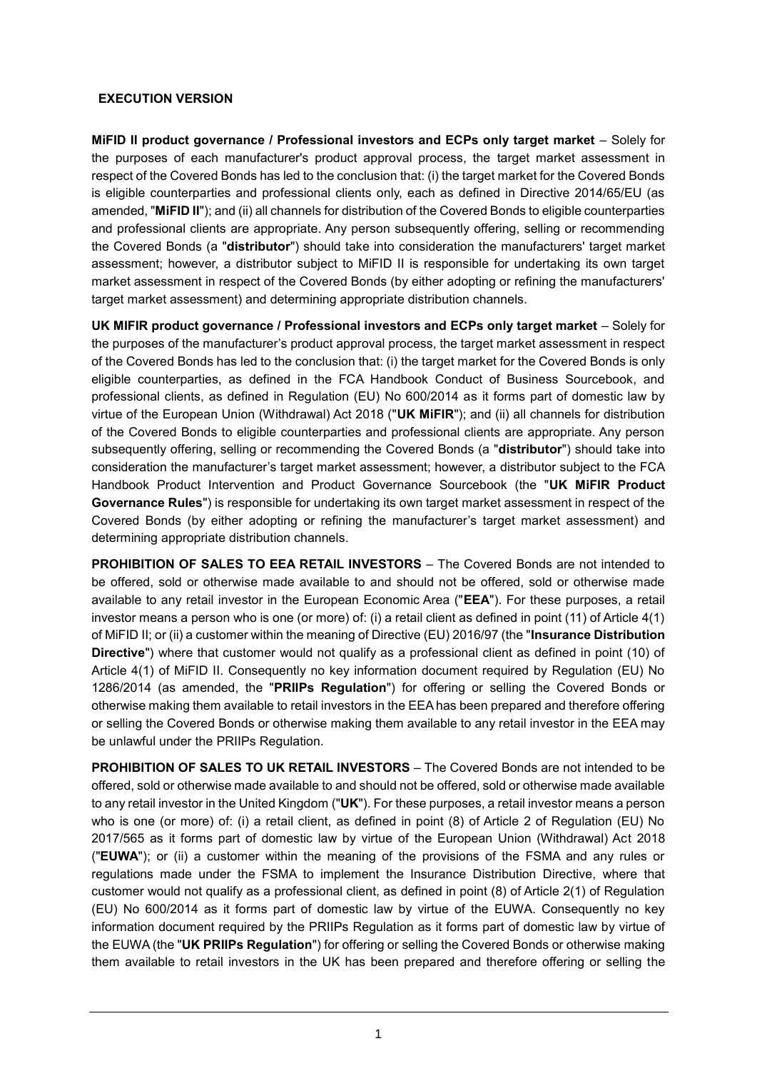### **EXECUTION VERSION**

**MiFID II product governance / Professional investors and ECPs only target market** – Solely for the purposes of each manufacturer's product approval process, the target market assessment in respect of the Covered Bonds has led to the conclusion that: (i) the target market for the Covered Bonds is eligible counterparties and professional clients only, each as defined in Directive 2014/65/EU (as amended, "**MiFID II**"); and (ii) all channels for distribution of the Covered Bonds to eligible counterparties and professional clients are appropriate. Any person subsequently offering, selling or recommending the Covered Bonds (a "**distributor**") should take into consideration the manufacturers' target market assessment; however, a distributor subject to MiFID II is responsible for undertaking its own target market assessment in respect of the Covered Bonds (by either adopting or refining the manufacturers' target market assessment) and determining appropriate distribution channels.

**UK MIFIR product governance / Professional investors and ECPs only target market** – Solely for the purposes of the manufacturer's product approval process, the target market assessment in respect of the Covered Bonds has led to the conclusion that: (i) the target market for the Covered Bonds is only eligible counterparties, as defined in the FCA Handbook Conduct of Business Sourcebook, and professional clients, as defined in Regulation (EU) No 600/2014 as it forms part of domestic law by virtue of the European Union (Withdrawal) Act 2018 ("**UK MiFIR**"); and (ii) all channels for distribution of the Covered Bonds to eligible counterparties and professional clients are appropriate. Any person subsequently offering, selling or recommending the Covered Bonds (a "**distributor**") should take into consideration the manufacturer's target market assessment; however, a distributor subject to the FCA Handbook Product Intervention and Product Governance Sourcebook (the "**UK MiFIR Product Governance Rules**") is responsible for undertaking its own target market assessment in respect of the Covered Bonds (by either adopting or refining the manufacturer's target market assessment) and determining appropriate distribution channels.

**PROHIBITION OF SALES TO EEA RETAIL INVESTORS** – The Covered Bonds are not intended to be offered, sold or otherwise made available to and should not be offered, sold or otherwise made available to any retail investor in the European Economic Area ("**EEA**"). For these purposes, a retail investor means a person who is one (or more) of: (i) a retail client as defined in point (11) of Article 4(1) of MiFID II; or (ii) a customer within the meaning of Directive (EU) 2016/97 (the "**Insurance Distribution Directive**") where that customer would not qualify as a professional client as defined in point (10) of Article 4(1) of MiFID II. Consequently no key information document required by Regulation (EU) No 1286/2014 (as amended, the "**PRIIPs Regulation**") for offering or selling the Covered Bonds or otherwise making them available to retail investors in the EEA has been prepared and therefore offering or selling the Covered Bonds or otherwise making them available to any retail investor in the EEA may be unlawful under the PRIIPs Regulation.

**PROHIBITION OF SALES TO UK RETAIL INVESTORS** – The Covered Bonds are not intended to be offered, sold or otherwise made available to and should not be offered, sold or otherwise made available to any retail investor in the United Kingdom ("**UK**"). For these purposes, a retail investor means a person who is one (or more) of: (i) a retail client, as defined in point (8) of Article 2 of Regulation (EU) No 2017/565 as it forms part of domestic law by virtue of the European Union (Withdrawal) Act 2018 ("**EUWA**"); or (ii) a customer within the meaning of the provisions of the FSMA and any rules or regulations made under the FSMA to implement the Insurance Distribution Directive, where that customer would not qualify as a professional client, as defined in point (8) of Article 2(1) of Regulation (EU) No 600/2014 as it forms part of domestic law by virtue of the EUWA. Consequently no key information document required by the PRIIPs Regulation as it forms part of domestic law by virtue of the EUWA (the "**UK PRIIPs Regulation**") for offering or selling the Covered Bonds or otherwise making them available to retail investors in the UK has been prepared and therefore offering or selling the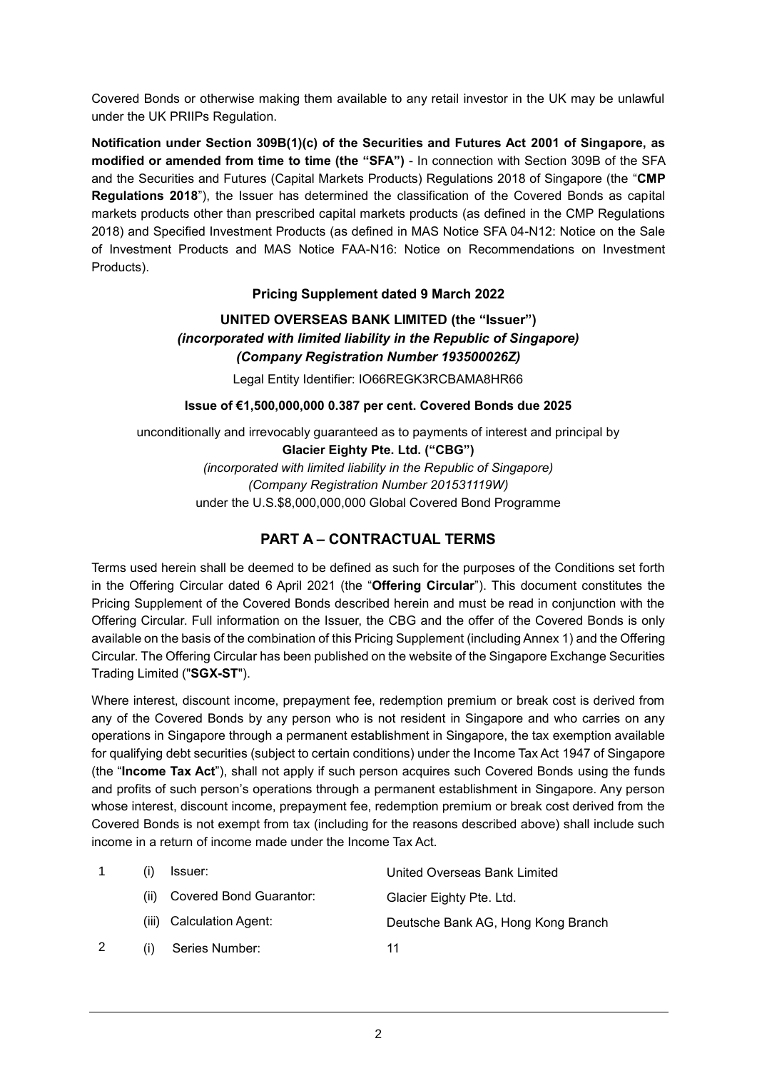Covered Bonds or otherwise making them available to any retail investor in the UK may be unlawful under the UK PRIIPs Regulation.

**Notification under Section 309B(1)(c) of the Securities and Futures Act 2001 of Singapore, as modified or amended from time to time (the "SFA")** - In connection with Section 309B of the SFA and the Securities and Futures (Capital Markets Products) Regulations 2018 of Singapore (the "**CMP Regulations 2018**"), the Issuer has determined the classification of the Covered Bonds as capital markets products other than prescribed capital markets products (as defined in the CMP Regulations 2018) and Specified Investment Products (as defined in MAS Notice SFA 04-N12: Notice on the Sale of Investment Products and MAS Notice FAA-N16: Notice on Recommendations on Investment Products).

# **Pricing Supplement dated 9 March 2022**

# **UNITED OVERSEAS BANK LIMITED (the "Issuer")** *(incorporated with limited liability in the Republic of Singapore) (Company Registration Number 193500026Z)*

Legal Entity Identifier: IO66REGK3RCBAMA8HR66

# **Issue of €1,500,000,000 0.387 per cent. Covered Bonds due 2025**

unconditionally and irrevocably guaranteed as to payments of interest and principal by **Glacier Eighty Pte. Ltd. ("CBG")** *(incorporated with limited liability in the Republic of Singapore) (Company Registration Number 201531119W)* under the U.S.\$8,000,000,000 Global Covered Bond Programme

# **PART A – CONTRACTUAL TERMS**

Terms used herein shall be deemed to be defined as such for the purposes of the Conditions set forth in the Offering Circular dated 6 April 2021 (the "**Offering Circular**"). This document constitutes the Pricing Supplement of the Covered Bonds described herein and must be read in conjunction with the Offering Circular. Full information on the Issuer, the CBG and the offer of the Covered Bonds is only available on the basis of the combination of this Pricing Supplement (including Annex 1) and the Offering Circular. The Offering Circular has been published on the website of the Singapore Exchange Securities Trading Limited ("**SGX-ST**").

Where interest, discount income, prepayment fee, redemption premium or break cost is derived from any of the Covered Bonds by any person who is not resident in Singapore and who carries on any operations in Singapore through a permanent establishment in Singapore, the tax exemption available for qualifying debt securities (subject to certain conditions) under the Income Tax Act 1947 of Singapore (the "**Income Tax Act**"), shall not apply if such person acquires such Covered Bonds using the funds and profits of such person's operations through a permanent establishment in Singapore. Any person whose interest, discount income, prepayment fee, redemption premium or break cost derived from the Covered Bonds is not exempt from tax (including for the reasons described above) shall include such income in a return of income made under the Income Tax Act.

|      | Issuer:                  | United Overseas Bank Limited       |
|------|--------------------------|------------------------------------|
| (ii) | Covered Bond Guarantor:  | Glacier Eighty Pte. Ltd.           |
|      | (iii) Calculation Agent: | Deutsche Bank AG, Hong Kong Branch |
|      | Series Number:           | 11                                 |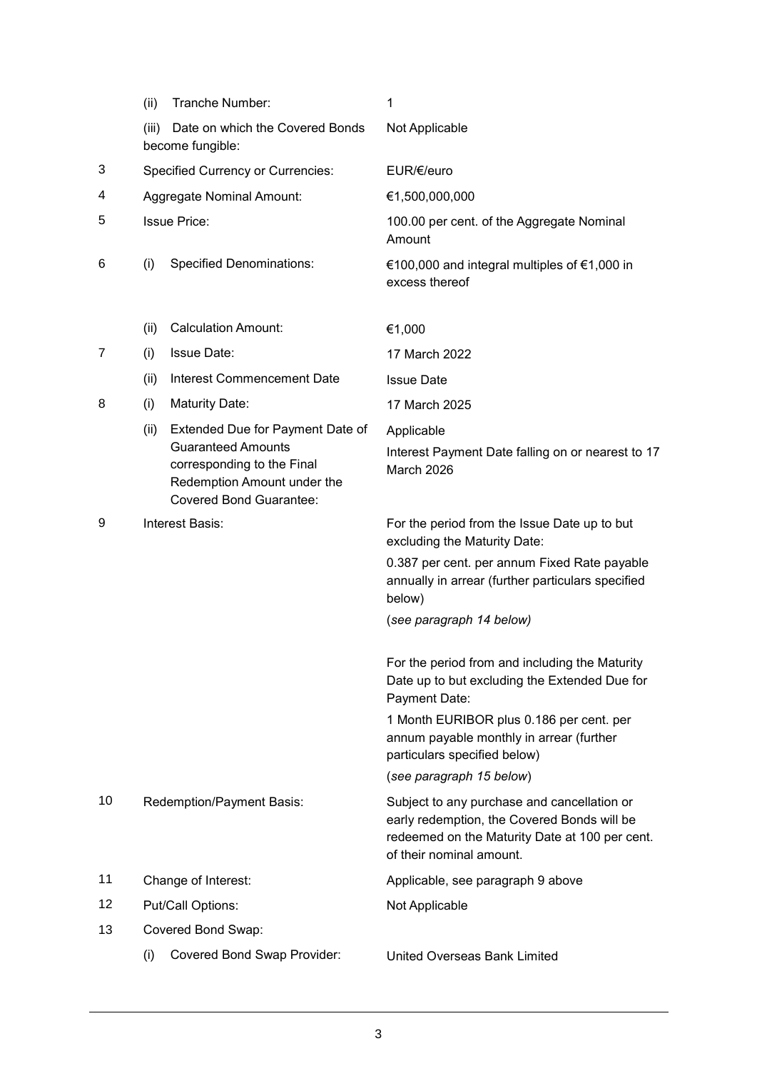|    | (ii)                      | Tranche Number:                                                                                                                                              | 1                                                                                                                                                                        |
|----|---------------------------|--------------------------------------------------------------------------------------------------------------------------------------------------------------|--------------------------------------------------------------------------------------------------------------------------------------------------------------------------|
|    | (iii)                     | Date on which the Covered Bonds<br>become fungible:                                                                                                          | Not Applicable                                                                                                                                                           |
| 3  |                           | <b>Specified Currency or Currencies:</b>                                                                                                                     | EUR/€/euro                                                                                                                                                               |
| 4  | Aggregate Nominal Amount: |                                                                                                                                                              | €1,500,000,000                                                                                                                                                           |
| 5  |                           | <b>Issue Price:</b>                                                                                                                                          | 100.00 per cent. of the Aggregate Nominal<br>Amount                                                                                                                      |
| 6  | (i)                       | <b>Specified Denominations:</b>                                                                                                                              | €100,000 and integral multiples of €1,000 in<br>excess thereof                                                                                                           |
|    | (ii)                      | <b>Calculation Amount:</b>                                                                                                                                   | €1,000                                                                                                                                                                   |
| 7  | (i)                       | <b>Issue Date:</b>                                                                                                                                           | 17 March 2022                                                                                                                                                            |
|    | (ii)                      | Interest Commencement Date                                                                                                                                   | <b>Issue Date</b>                                                                                                                                                        |
| 8  | (i)                       | Maturity Date:                                                                                                                                               | 17 March 2025                                                                                                                                                            |
|    | (ii)                      | Extended Due for Payment Date of<br><b>Guaranteed Amounts</b><br>corresponding to the Final<br>Redemption Amount under the<br><b>Covered Bond Guarantee:</b> | Applicable<br>Interest Payment Date falling on or nearest to 17<br>March 2026                                                                                            |
| 9  |                           | Interest Basis:                                                                                                                                              | For the period from the Issue Date up to but<br>excluding the Maturity Date:                                                                                             |
|    |                           |                                                                                                                                                              | 0.387 per cent. per annum Fixed Rate payable<br>annually in arrear (further particulars specified<br>below)                                                              |
|    |                           |                                                                                                                                                              | (see paragraph 14 below)                                                                                                                                                 |
|    |                           |                                                                                                                                                              | For the period from and including the Maturity<br>Date up to but excluding the Extended Due for<br>Payment Date:                                                         |
|    |                           |                                                                                                                                                              | 1 Month EURIBOR plus 0.186 per cent. per<br>annum payable monthly in arrear (further<br>particulars specified below)                                                     |
|    |                           |                                                                                                                                                              | (see paragraph 15 below)                                                                                                                                                 |
| 10 |                           | Redemption/Payment Basis:                                                                                                                                    | Subject to any purchase and cancellation or<br>early redemption, the Covered Bonds will be<br>redeemed on the Maturity Date at 100 per cent.<br>of their nominal amount. |
| 11 |                           | Change of Interest:                                                                                                                                          | Applicable, see paragraph 9 above                                                                                                                                        |
| 12 |                           | Put/Call Options:                                                                                                                                            | Not Applicable                                                                                                                                                           |
| 13 |                           | Covered Bond Swap:                                                                                                                                           |                                                                                                                                                                          |
|    | (i)                       | <b>Covered Bond Swap Provider:</b>                                                                                                                           | United Overseas Bank Limited                                                                                                                                             |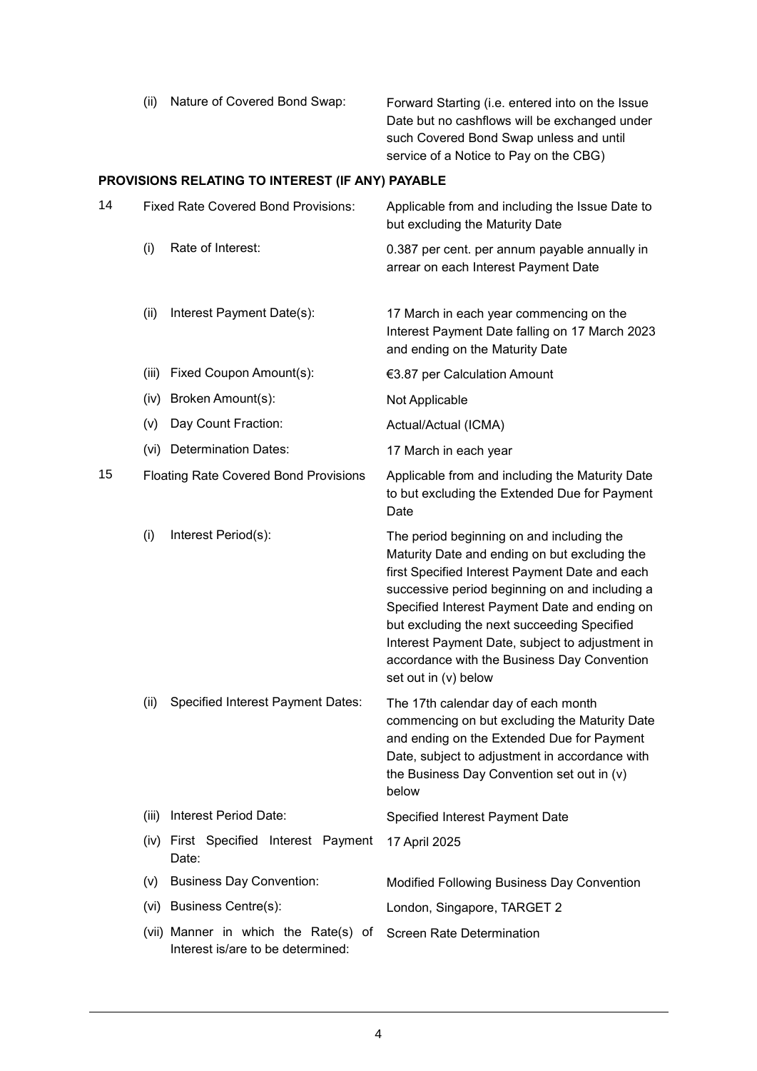| Nature of Covered Bond Swap: | Forward Starting (i.e. entered into on the Issue |
|------------------------------|--------------------------------------------------|
|                              | Date but no cashflows will be exchanged under    |
|                              | such Covered Bond Swap unless and until          |
|                              | service of a Notice to Pay on the CBG)           |

# **PROVISIONS RELATING TO INTEREST (IF ANY) PAYABLE**

| 14 |       | <b>Fixed Rate Covered Bond Provisions:</b>                                | Applicable from and including the Issue Date to<br>but excluding the Maturity Date                                                                                                                                                                                                                                                                                                                                       |
|----|-------|---------------------------------------------------------------------------|--------------------------------------------------------------------------------------------------------------------------------------------------------------------------------------------------------------------------------------------------------------------------------------------------------------------------------------------------------------------------------------------------------------------------|
|    | (i)   | Rate of Interest:                                                         | 0.387 per cent. per annum payable annually in<br>arrear on each Interest Payment Date                                                                                                                                                                                                                                                                                                                                    |
|    | (ii)  | Interest Payment Date(s):                                                 | 17 March in each year commencing on the<br>Interest Payment Date falling on 17 March 2023<br>and ending on the Maturity Date                                                                                                                                                                                                                                                                                             |
|    | (iii) | Fixed Coupon Amount(s):                                                   | €3.87 per Calculation Amount                                                                                                                                                                                                                                                                                                                                                                                             |
|    | (iv)  | Broken Amount(s):                                                         | Not Applicable                                                                                                                                                                                                                                                                                                                                                                                                           |
|    | (v)   | Day Count Fraction:                                                       | Actual/Actual (ICMA)                                                                                                                                                                                                                                                                                                                                                                                                     |
|    |       | (vi) Determination Dates:                                                 | 17 March in each year                                                                                                                                                                                                                                                                                                                                                                                                    |
| 15 |       | <b>Floating Rate Covered Bond Provisions</b>                              | Applicable from and including the Maturity Date<br>to but excluding the Extended Due for Payment<br>Date                                                                                                                                                                                                                                                                                                                 |
|    | (i)   | Interest Period(s):                                                       | The period beginning on and including the<br>Maturity Date and ending on but excluding the<br>first Specified Interest Payment Date and each<br>successive period beginning on and including a<br>Specified Interest Payment Date and ending on<br>but excluding the next succeeding Specified<br>Interest Payment Date, subject to adjustment in<br>accordance with the Business Day Convention<br>set out in (v) below |
|    | (ii)  | Specified Interest Payment Dates:                                         | The 17th calendar day of each month<br>commencing on but excluding the Maturity Date<br>and ending on the Extended Due for Payment<br>Date, subject to adjustment in accordance with<br>the Business Day Convention set out in (v)<br>below                                                                                                                                                                              |
|    | (iii) | Interest Period Date:                                                     | Specified Interest Payment Date                                                                                                                                                                                                                                                                                                                                                                                          |
|    |       | (iv) First Specified Interest Payment<br>Date:                            | 17 April 2025                                                                                                                                                                                                                                                                                                                                                                                                            |
|    |       | (v) Business Day Convention:                                              | Modified Following Business Day Convention                                                                                                                                                                                                                                                                                                                                                                               |
|    |       | (vi) Business Centre(s):                                                  | London, Singapore, TARGET 2                                                                                                                                                                                                                                                                                                                                                                                              |
|    |       | (vii) Manner in which the Rate(s) of<br>Interest is/are to be determined: | <b>Screen Rate Determination</b>                                                                                                                                                                                                                                                                                                                                                                                         |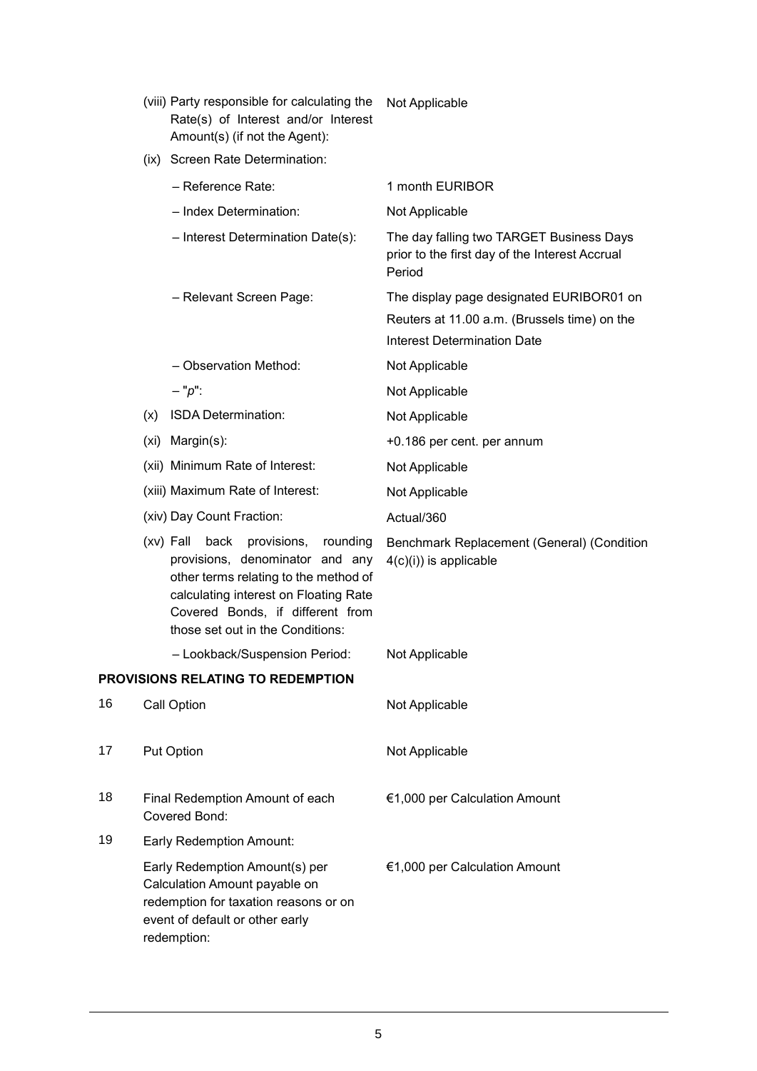|    |     | (viii) Party responsible for calculating the<br>Rate(s) of Interest and/or Interest<br>Amount(s) (if not the Agent):                                                                                                                     | Not Applicable                                                                                                                 |
|----|-----|------------------------------------------------------------------------------------------------------------------------------------------------------------------------------------------------------------------------------------------|--------------------------------------------------------------------------------------------------------------------------------|
|    |     | (ix) Screen Rate Determination:                                                                                                                                                                                                          |                                                                                                                                |
|    |     | - Reference Rate:                                                                                                                                                                                                                        | 1 month EURIBOR                                                                                                                |
|    |     | - Index Determination:                                                                                                                                                                                                                   | Not Applicable                                                                                                                 |
|    |     | - Interest Determination Date(s):                                                                                                                                                                                                        | The day falling two TARGET Business Days<br>prior to the first day of the Interest Accrual<br>Period                           |
|    |     | - Relevant Screen Page:                                                                                                                                                                                                                  | The display page designated EURIBOR01 on<br>Reuters at 11.00 a.m. (Brussels time) on the<br><b>Interest Determination Date</b> |
|    |     | - Observation Method:                                                                                                                                                                                                                    | Not Applicable                                                                                                                 |
|    |     | $- "p":$                                                                                                                                                                                                                                 | Not Applicable                                                                                                                 |
|    | (x) | ISDA Determination:                                                                                                                                                                                                                      | Not Applicable                                                                                                                 |
|    |     | (xi) Margin(s):                                                                                                                                                                                                                          | +0.186 per cent. per annum                                                                                                     |
|    |     | (xii) Minimum Rate of Interest:                                                                                                                                                                                                          | Not Applicable                                                                                                                 |
|    |     | (xiii) Maximum Rate of Interest:                                                                                                                                                                                                         | Not Applicable                                                                                                                 |
|    |     | (xiv) Day Count Fraction:                                                                                                                                                                                                                | Actual/360                                                                                                                     |
|    |     | $(xv)$ Fall<br>back provisions,<br>rounding<br>provisions, denominator and any<br>other terms relating to the method of<br>calculating interest on Floating Rate<br>Covered Bonds, if different from<br>those set out in the Conditions: | Benchmark Replacement (General) (Condition<br>$4(c)(i)$ ) is applicable                                                        |
|    |     | - Lookback/Suspension Period:                                                                                                                                                                                                            | Not Applicable                                                                                                                 |
|    |     | PROVISIONS RELATING TO REDEMPTION                                                                                                                                                                                                        |                                                                                                                                |
| 16 |     | Call Option                                                                                                                                                                                                                              | Not Applicable                                                                                                                 |
| 17 |     | Put Option                                                                                                                                                                                                                               | Not Applicable                                                                                                                 |
| 18 |     | Final Redemption Amount of each<br>Covered Bond:                                                                                                                                                                                         | €1,000 per Calculation Amount                                                                                                  |
| 19 |     | <b>Early Redemption Amount:</b>                                                                                                                                                                                                          |                                                                                                                                |
|    |     | Early Redemption Amount(s) per<br>Calculation Amount payable on<br>redemption for taxation reasons or on<br>event of default or other early<br>redemption:                                                                               | €1,000 per Calculation Amount                                                                                                  |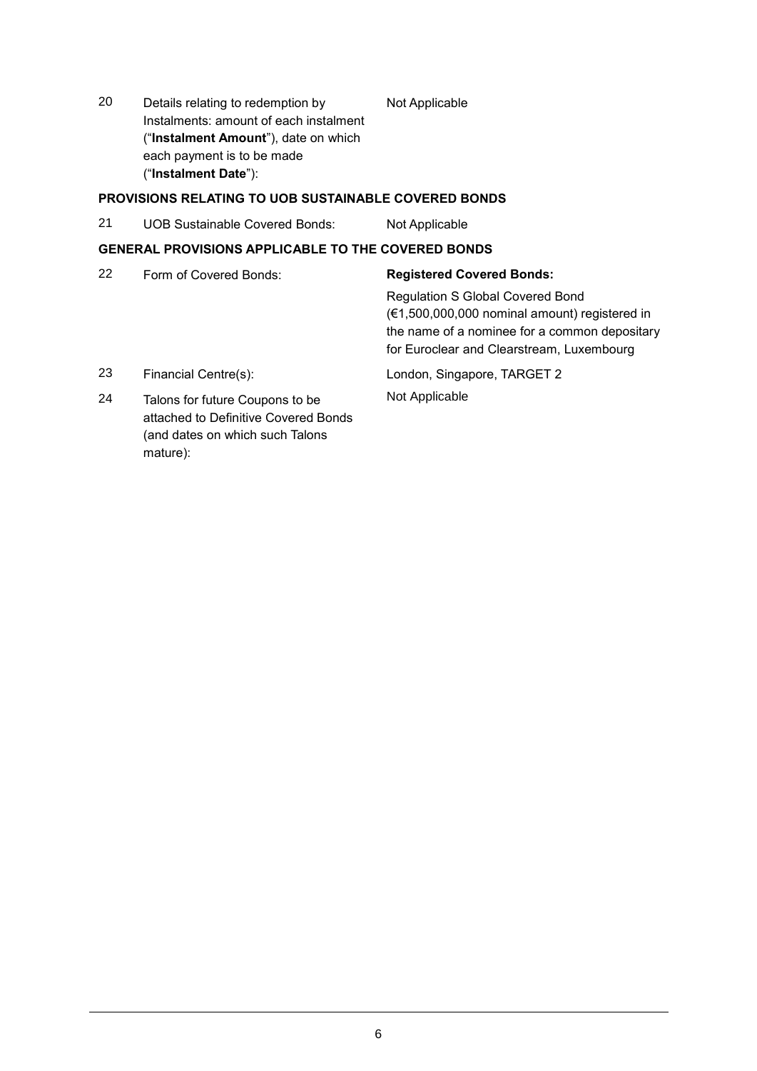20 Details relating to redemption by Instalments: amount of each instalment ("**Instalment Amount**"), date on which each payment is to be made ("**Instalment Date**"):

# **PROVISIONS RELATING TO UOB SUSTAINABLE COVERED BONDS**

21 UOB Sustainable Covered Bonds: Not Applicable

# **GENERAL PROVISIONS APPLICABLE TO THE COVERED BONDS**

| 22 | Form of Covered Bonds:                                                                                                 | <b>Registered Covered Bonds:</b>                                                                                                                                                       |
|----|------------------------------------------------------------------------------------------------------------------------|----------------------------------------------------------------------------------------------------------------------------------------------------------------------------------------|
|    |                                                                                                                        | <b>Regulation S Global Covered Bond</b><br>(€1,500,000,000 nominal amount) registered in<br>the name of a nominee for a common depositary<br>for Euroclear and Clearstream, Luxembourg |
| 23 | Financial Centre(s):                                                                                                   | London, Singapore, TARGET 2                                                                                                                                                            |
| 24 | Talons for future Coupons to be<br>attached to Definitive Covered Bonds<br>(and dates on which such Talons<br>mature): | Not Applicable                                                                                                                                                                         |

Not Applicable

6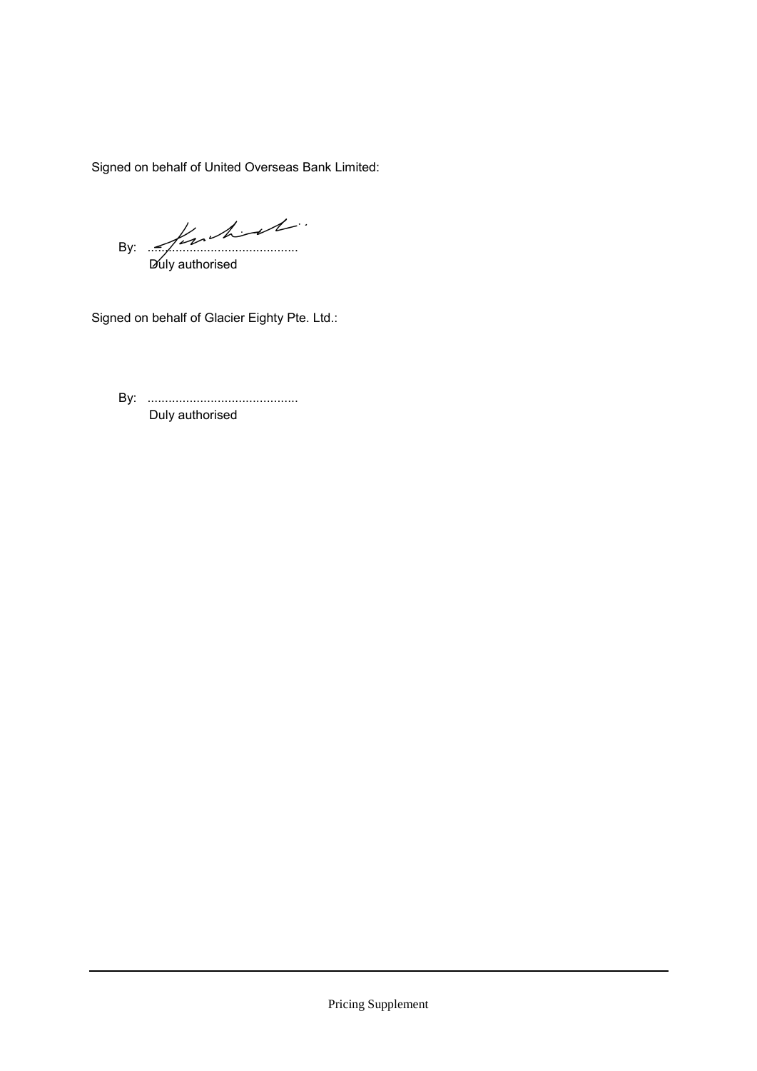Signed on behalf of United Overseas Bank Limited:

By: ........................................... Duly authorised

Signed on behalf of Glacier Eighty Pte. Ltd.:

By: ........................................... Duly authorised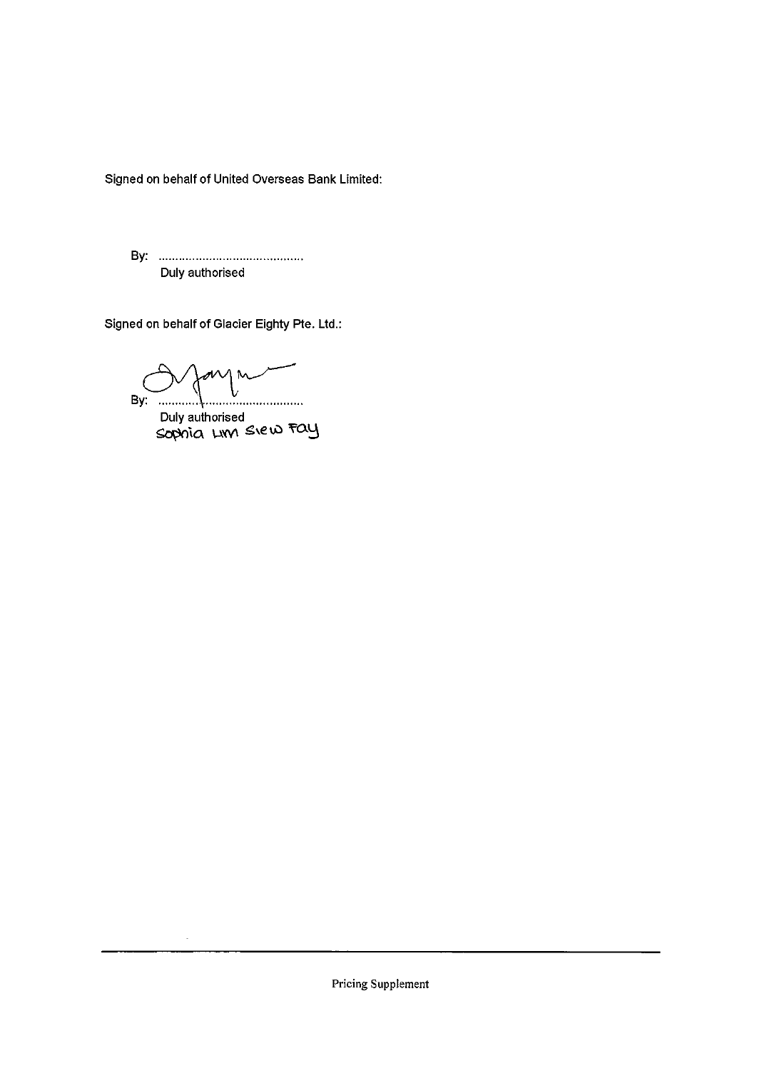Signed on behalf of United Overseas Bank Limited:

Duly authorised

Signed on behalf of Glacier Eighty Pte. Ltd.:

MMM V By:  $\frac{1}{2}$ . . <del>. . . . . . . . . . . . . . . . .</del> . . . .

÷.

Duly authorised<br>Sophia LIM SIEW Fay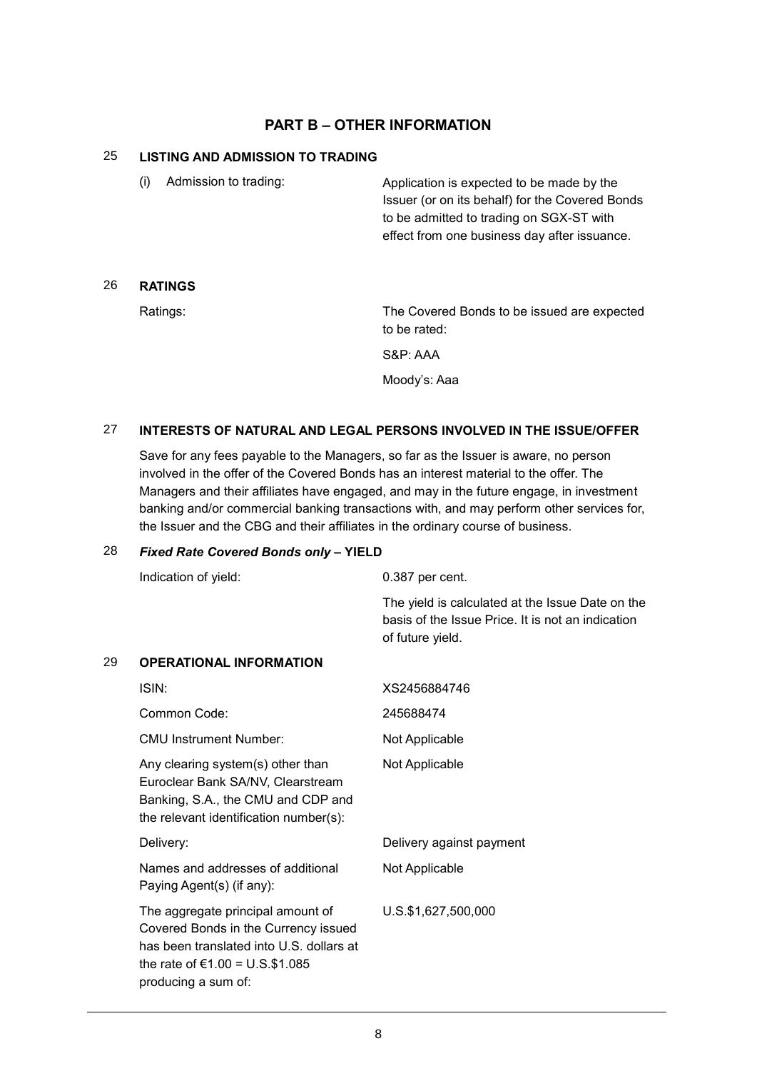# **PART B – OTHER INFORMATION**

# 25 **LISTING AND ADMISSION TO TRADING**

| (i) | Admission to trading: | Application is expected to be made by the<br>Issuer (or on its behalf) for the Covered Bonds |
|-----|-----------------------|----------------------------------------------------------------------------------------------|
|     |                       | to be admitted to trading on SGX-ST with                                                     |
|     |                       | effect from one business day after issuance.                                                 |

## 26 **RATINGS**

Ratings: The Covered Bonds to be issued are expected to be rated:

S&P: AAA

Moody's: Aaa

## 27 **INTERESTS OF NATURAL AND LEGAL PERSONS INVOLVED IN THE ISSUE/OFFER**

Save for any fees payable to the Managers, so far as the Issuer is aware, no person involved in the offer of the Covered Bonds has an interest material to the offer. The Managers and their affiliates have engaged, and may in the future engage, in investment banking and/or commercial banking transactions with, and may perform other services for, the Issuer and the CBG and their affiliates in the ordinary course of business.

#### 28 *Fixed Rate Covered Bonds only* **– YIELD**

|    | Indication of yield:                                                                                                                                                               | 0.387 per cent.                                                                                                           |
|----|------------------------------------------------------------------------------------------------------------------------------------------------------------------------------------|---------------------------------------------------------------------------------------------------------------------------|
|    |                                                                                                                                                                                    | The yield is calculated at the Issue Date on the<br>basis of the Issue Price. It is not an indication<br>of future yield. |
| 29 | <b>OPERATIONAL INFORMATION</b>                                                                                                                                                     |                                                                                                                           |
|    | ISIN:                                                                                                                                                                              | XS2456884746                                                                                                              |
|    | Common Code:                                                                                                                                                                       | 245688474                                                                                                                 |
|    | <b>CMU Instrument Number:</b>                                                                                                                                                      | Not Applicable                                                                                                            |
|    | Any clearing system(s) other than<br>Euroclear Bank SA/NV, Clearstream<br>Banking, S.A., the CMU and CDP and<br>the relevant identification number(s):                             | Not Applicable                                                                                                            |
|    | Delivery:                                                                                                                                                                          | Delivery against payment                                                                                                  |
|    | Names and addresses of additional<br>Paying Agent(s) (if any):                                                                                                                     | Not Applicable                                                                                                            |
|    | The aggregate principal amount of<br>Covered Bonds in the Currency issued<br>has been translated into U.S. dollars at<br>the rate of $€1.00 = U.S.$ \$1.085<br>producing a sum of: | U.S.\$1,627,500,000                                                                                                       |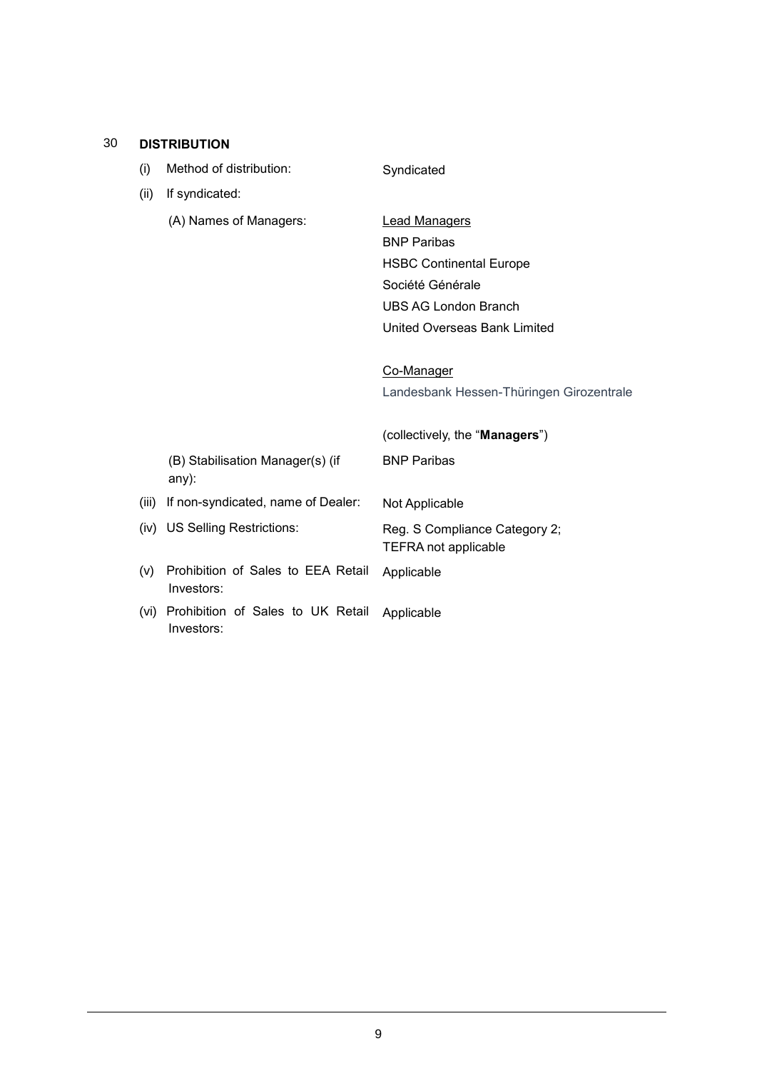### 30 **DISTRIBUTION**

(i) Method of distribution: Syndicated

| (ii)  | If syndicated:                                   |                                                              |
|-------|--------------------------------------------------|--------------------------------------------------------------|
|       | (A) Names of Managers:                           | <b>Lead Managers</b>                                         |
|       |                                                  | <b>BNP Paribas</b>                                           |
|       |                                                  | <b>HSBC Continental Europe</b>                               |
|       |                                                  | Société Générale                                             |
|       |                                                  | <b>UBS AG London Branch</b>                                  |
|       |                                                  | United Overseas Bank Limited                                 |
|       |                                                  | Co-Manager                                                   |
|       |                                                  | Landesbank Hessen-Thüringen Girozentrale                     |
|       |                                                  | (collectively, the "Managers")                               |
|       | (B) Stabilisation Manager(s) (if<br>any):        | <b>BNP Paribas</b>                                           |
| (iii) | If non-syndicated, name of Dealer:               | Not Applicable                                               |
|       | (iv) US Selling Restrictions:                    | Reg. S Compliance Category 2;<br><b>TEFRA not applicable</b> |
| (v)   | Prohibition of Sales to EEA Retail<br>Investors: | Applicable                                                   |
| (vi)  | Prohibition of Sales to UK Retail<br>Investors:  | Applicable                                                   |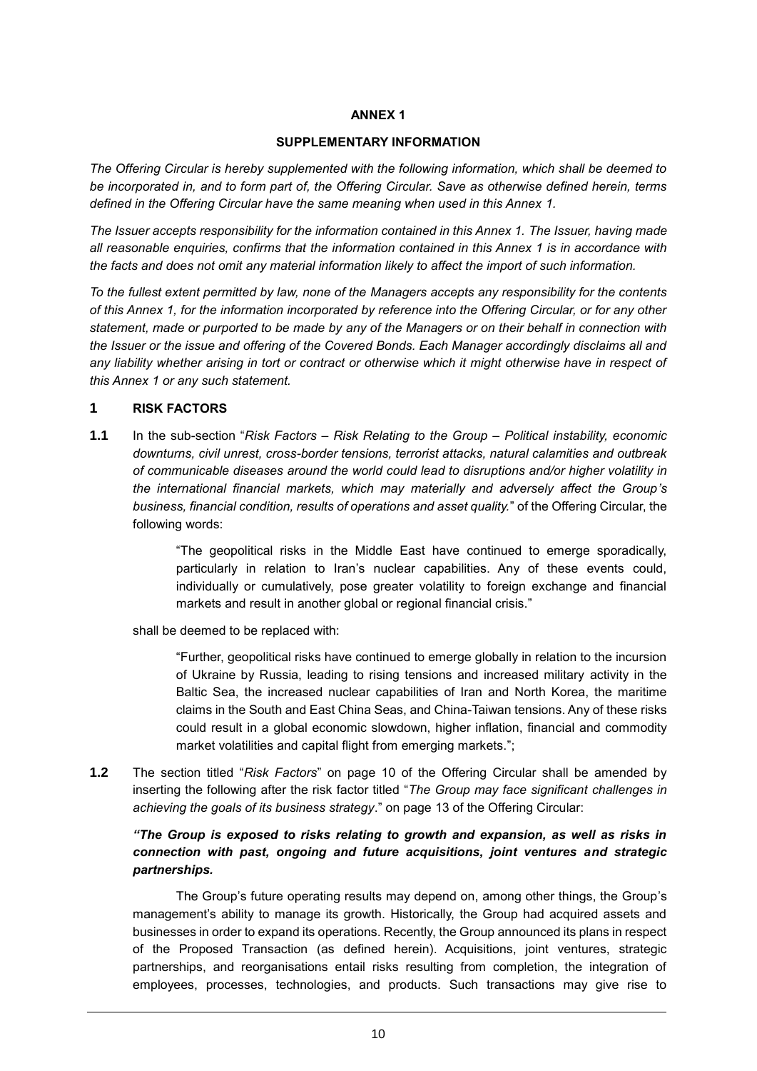#### **ANNEX 1**

#### **SUPPLEMENTARY INFORMATION**

*The Offering Circular is hereby supplemented with the following information, which shall be deemed to be incorporated in, and to form part of, the Offering Circular. Save as otherwise defined herein, terms defined in the Offering Circular have the same meaning when used in this Annex 1.*

*The Issuer accepts responsibility for the information contained in this Annex 1. The Issuer, having made all reasonable enquiries, confirms that the information contained in this Annex 1 is in accordance with the facts and does not omit any material information likely to affect the import of such information.* 

*To the fullest extent permitted by law, none of the Managers accepts any responsibility for the contents of this Annex 1, for the information incorporated by reference into the Offering Circular, or for any other statement, made or purported to be made by any of the Managers or on their behalf in connection with the Issuer or the issue and offering of the Covered Bonds. Each Manager accordingly disclaims all and any liability whether arising in tort or contract or otherwise which it might otherwise have in respect of this Annex 1 or any such statement.*

#### **1 RISK FACTORS**

**1.1** In the sub-section "*Risk Factors – Risk Relating to the Group – Political instability, economic downturns, civil unrest, cross-border tensions, terrorist attacks, natural calamities and outbreak of communicable diseases around the world could lead to disruptions and/or higher volatility in the international financial markets, which may materially and adversely affect the Group's business, financial condition, results of operations and asset quality.*" of the Offering Circular, the following words:

> "The geopolitical risks in the Middle East have continued to emerge sporadically, particularly in relation to Iran's nuclear capabilities. Any of these events could, individually or cumulatively, pose greater volatility to foreign exchange and financial markets and result in another global or regional financial crisis."

shall be deemed to be replaced with:

"Further, geopolitical risks have continued to emerge globally in relation to the incursion of Ukraine by Russia, leading to rising tensions and increased military activity in the Baltic Sea, the increased nuclear capabilities of Iran and North Korea, the maritime claims in the South and East China Seas, and China-Taiwan tensions. Any of these risks could result in a global economic slowdown, higher inflation, financial and commodity market volatilities and capital flight from emerging markets.";

**1.2** The section titled "*Risk Factors*" on page 10 of the Offering Circular shall be amended by inserting the following after the risk factor titled "*The Group may face significant challenges in achieving the goals of its business strategy*." on page 13 of the Offering Circular:

# *"The Group is exposed to risks relating to growth and expansion, as well as risks in connection with past, ongoing and future acquisitions, joint ventures and strategic partnerships.*

The Group's future operating results may depend on, among other things, the Group's management's ability to manage its growth. Historically, the Group had acquired assets and businesses in order to expand its operations. Recently, the Group announced its plans in respect of the Proposed Transaction (as defined herein). Acquisitions, joint ventures, strategic partnerships, and reorganisations entail risks resulting from completion, the integration of employees, processes, technologies, and products. Such transactions may give rise to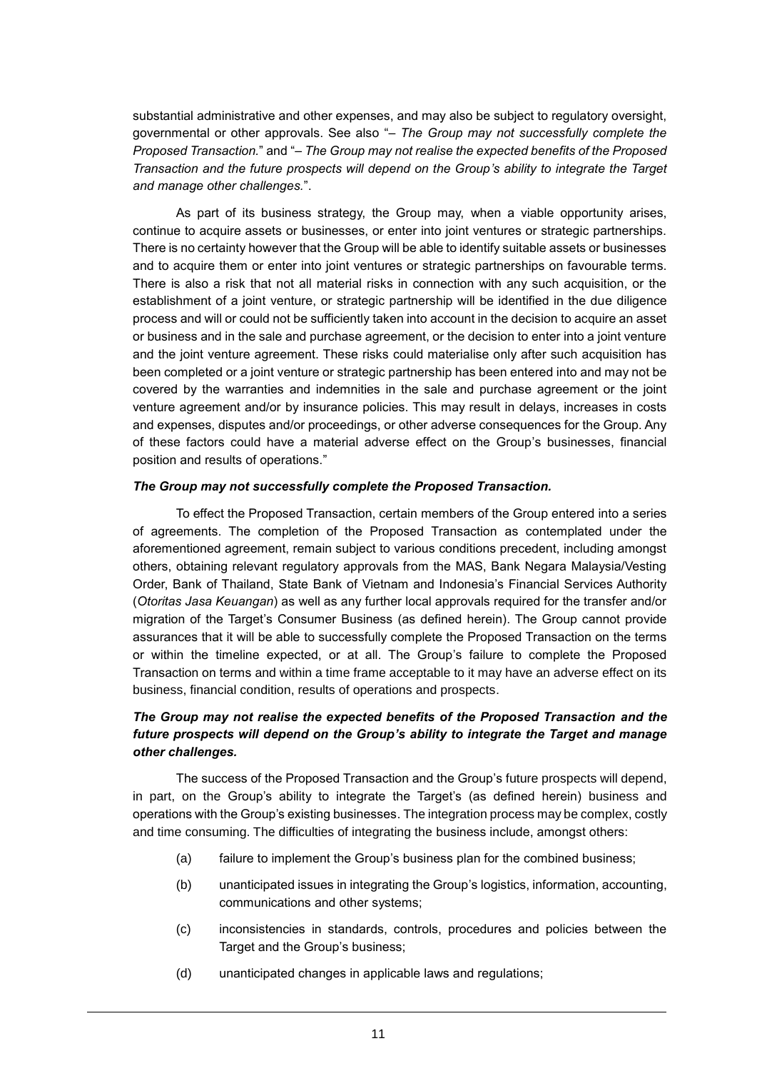substantial administrative and other expenses, and may also be subject to regulatory oversight, governmental or other approvals. See also "– *The Group may not successfully complete the Proposed Transaction.*" and "– *The Group may not realise the expected benefits of the Proposed Transaction and the future prospects will depend on the Group's ability to integrate the Target and manage other challenges.*".

As part of its business strategy, the Group may, when a viable opportunity arises, continue to acquire assets or businesses, or enter into joint ventures or strategic partnerships. There is no certainty however that the Group will be able to identify suitable assets or businesses and to acquire them or enter into joint ventures or strategic partnerships on favourable terms. There is also a risk that not all material risks in connection with any such acquisition, or the establishment of a joint venture, or strategic partnership will be identified in the due diligence process and will or could not be sufficiently taken into account in the decision to acquire an asset or business and in the sale and purchase agreement, or the decision to enter into a joint venture and the joint venture agreement. These risks could materialise only after such acquisition has been completed or a joint venture or strategic partnership has been entered into and may not be covered by the warranties and indemnities in the sale and purchase agreement or the joint venture agreement and/or by insurance policies. This may result in delays, increases in costs and expenses, disputes and/or proceedings, or other adverse consequences for the Group. Any of these factors could have a material adverse effect on the Group's businesses, financial position and results of operations."

#### *The Group may not successfully complete the Proposed Transaction.*

To effect the Proposed Transaction, certain members of the Group entered into a series of agreements. The completion of the Proposed Transaction as contemplated under the aforementioned agreement, remain subject to various conditions precedent, including amongst others, obtaining relevant regulatory approvals from the MAS, Bank Negara Malaysia/Vesting Order, Bank of Thailand, State Bank of Vietnam and Indonesia's Financial Services Authority (*Otoritas Jasa Keuangan*) as well as any further local approvals required for the transfer and/or migration of the Target's Consumer Business (as defined herein). The Group cannot provide assurances that it will be able to successfully complete the Proposed Transaction on the terms or within the timeline expected, or at all. The Group's failure to complete the Proposed Transaction on terms and within a time frame acceptable to it may have an adverse effect on its business, financial condition, results of operations and prospects.

# *The Group may not realise the expected benefits of the Proposed Transaction and the future prospects will depend on the Group's ability to integrate the Target and manage other challenges.*

The success of the Proposed Transaction and the Group's future prospects will depend, in part, on the Group's ability to integrate the Target's (as defined herein) business and operations with the Group's existing businesses. The integration process may be complex, costly and time consuming. The difficulties of integrating the business include, amongst others:

- (a) failure to implement the Group's business plan for the combined business;
- (b) unanticipated issues in integrating the Group's logistics, information, accounting, communications and other systems;
- (c) inconsistencies in standards, controls, procedures and policies between the Target and the Group's business;
- (d) unanticipated changes in applicable laws and regulations;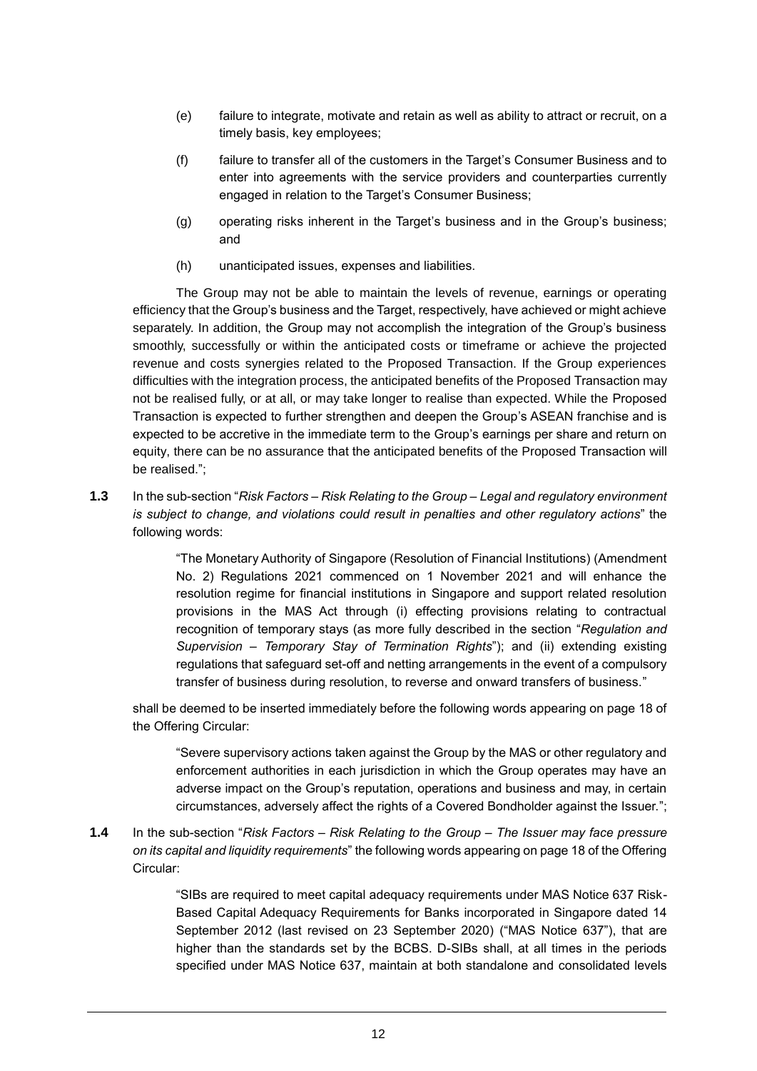- (e) failure to integrate, motivate and retain as well as ability to attract or recruit, on a timely basis, key employees;
- (f) failure to transfer all of the customers in the Target's Consumer Business and to enter into agreements with the service providers and counterparties currently engaged in relation to the Target's Consumer Business;
- (g) operating risks inherent in the Target's business and in the Group's business; and
- (h) unanticipated issues, expenses and liabilities.

The Group may not be able to maintain the levels of revenue, earnings or operating efficiency that the Group's business and the Target, respectively, have achieved or might achieve separately. In addition, the Group may not accomplish the integration of the Group's business smoothly, successfully or within the anticipated costs or timeframe or achieve the projected revenue and costs synergies related to the Proposed Transaction. If the Group experiences difficulties with the integration process, the anticipated benefits of the Proposed Transaction may not be realised fully, or at all, or may take longer to realise than expected. While the Proposed Transaction is expected to further strengthen and deepen the Group's ASEAN franchise and is expected to be accretive in the immediate term to the Group's earnings per share and return on equity, there can be no assurance that the anticipated benefits of the Proposed Transaction will be realised.";

**1.3** In the sub-section "*Risk Factors – Risk Relating to the Group – Legal and regulatory environment is subject to change, and violations could result in penalties and other regulatory actions*" the following words:

> "The Monetary Authority of Singapore (Resolution of Financial Institutions) (Amendment No. 2) Regulations 2021 commenced on 1 November 2021 and will enhance the resolution regime for financial institutions in Singapore and support related resolution provisions in the MAS Act through (i) effecting provisions relating to contractual recognition of temporary stays (as more fully described in the section "*Regulation and Supervision – Temporary Stay of Termination Rights*"); and (ii) extending existing regulations that safeguard set-off and netting arrangements in the event of a compulsory transfer of business during resolution, to reverse and onward transfers of business."

shall be deemed to be inserted immediately before the following words appearing on page 18 of the Offering Circular:

"Severe supervisory actions taken against the Group by the MAS or other regulatory and enforcement authorities in each jurisdiction in which the Group operates may have an adverse impact on the Group's reputation, operations and business and may, in certain circumstances, adversely affect the rights of a Covered Bondholder against the Issuer.";

**1.4** In the sub-section "*Risk Factors – Risk Relating to the Group – The Issuer may face pressure on its capital and liquidity requirements*" the following words appearing on page 18 of the Offering Circular:

> "SIBs are required to meet capital adequacy requirements under MAS Notice 637 Risk-Based Capital Adequacy Requirements for Banks incorporated in Singapore dated 14 September 2012 (last revised on 23 September 2020) ("MAS Notice 637"), that are higher than the standards set by the BCBS. D-SIBs shall, at all times in the periods specified under MAS Notice 637, maintain at both standalone and consolidated levels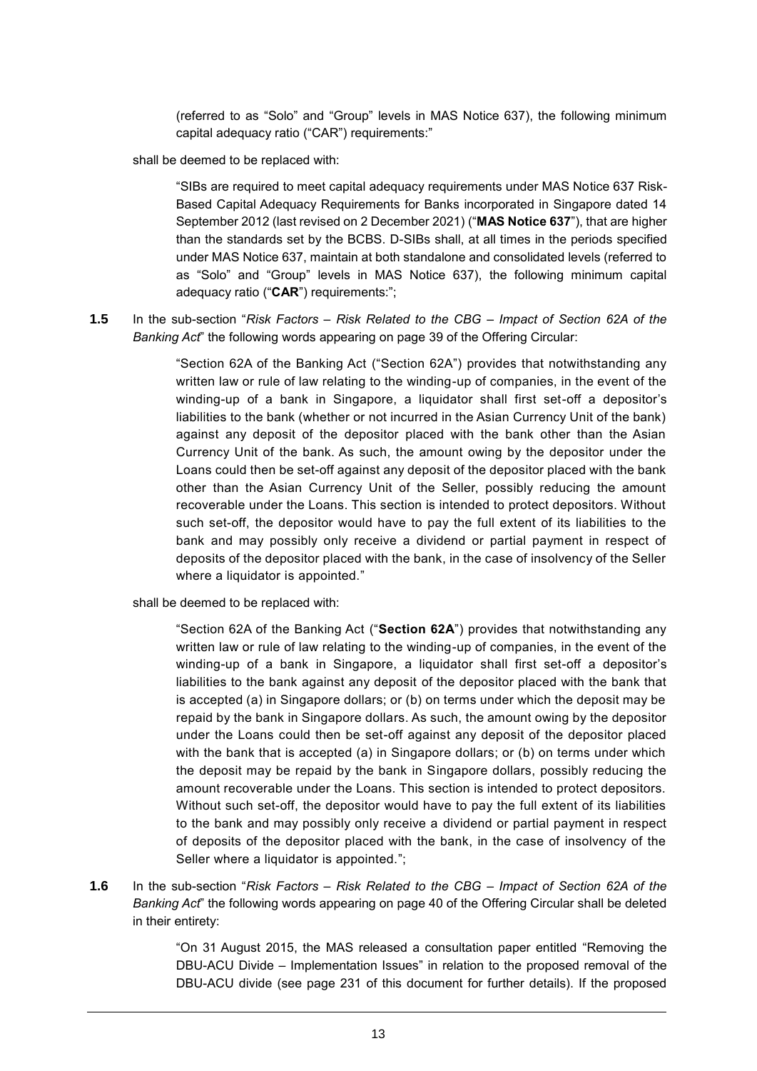(referred to as "Solo" and "Group" levels in MAS Notice 637), the following minimum capital adequacy ratio ("CAR") requirements:"

shall be deemed to be replaced with:

"SIBs are required to meet capital adequacy requirements under MAS Notice 637 Risk-Based Capital Adequacy Requirements for Banks incorporated in Singapore dated 14 September 2012 (last revised on 2 December 2021) ("**MAS Notice 637**"), that are higher than the standards set by the BCBS. D-SIBs shall, at all times in the periods specified under MAS Notice 637, maintain at both standalone and consolidated levels (referred to as "Solo" and "Group" levels in MAS Notice 637), the following minimum capital adequacy ratio ("**CAR**") requirements:";

**1.5** In the sub-section "*Risk Factors – Risk Related to the CBG – Impact of Section 62A of the Banking Act*" the following words appearing on page 39 of the Offering Circular:

> "Section 62A of the Banking Act ("Section 62A") provides that notwithstanding any written law or rule of law relating to the winding-up of companies, in the event of the winding-up of a bank in Singapore, a liquidator shall first set-off a depositor's liabilities to the bank (whether or not incurred in the Asian Currency Unit of the bank) against any deposit of the depositor placed with the bank other than the Asian Currency Unit of the bank. As such, the amount owing by the depositor under the Loans could then be set-off against any deposit of the depositor placed with the bank other than the Asian Currency Unit of the Seller, possibly reducing the amount recoverable under the Loans. This section is intended to protect depositors. Without such set-off, the depositor would have to pay the full extent of its liabilities to the bank and may possibly only receive a dividend or partial payment in respect of deposits of the depositor placed with the bank, in the case of insolvency of the Seller where a liquidator is appointed."

shall be deemed to be replaced with:

"Section 62A of the Banking Act ("**Section 62A**") provides that notwithstanding any written law or rule of law relating to the winding-up of companies, in the event of the winding-up of a bank in Singapore, a liquidator shall first set-off a depositor's liabilities to the bank against any deposit of the depositor placed with the bank that is accepted (a) in Singapore dollars; or (b) on terms under which the deposit may be repaid by the bank in Singapore dollars. As such, the amount owing by the depositor under the Loans could then be set-off against any deposit of the depositor placed with the bank that is accepted (a) in Singapore dollars; or (b) on terms under which the deposit may be repaid by the bank in Singapore dollars, possibly reducing the amount recoverable under the Loans. This section is intended to protect depositors. Without such set-off, the depositor would have to pay the full extent of its liabilities to the bank and may possibly only receive a dividend or partial payment in respect of deposits of the depositor placed with the bank, in the case of insolvency of the Seller where a liquidator is appointed.";

**1.6** In the sub-section "*Risk Factors – Risk Related to the CBG – Impact of Section 62A of the Banking Act*" the following words appearing on page 40 of the Offering Circular shall be deleted in their entirety:

> "On 31 August 2015, the MAS released a consultation paper entitled "Removing the DBU-ACU Divide – Implementation Issues" in relation to the proposed removal of the DBU-ACU divide (see page 231 of this document for further details). If the proposed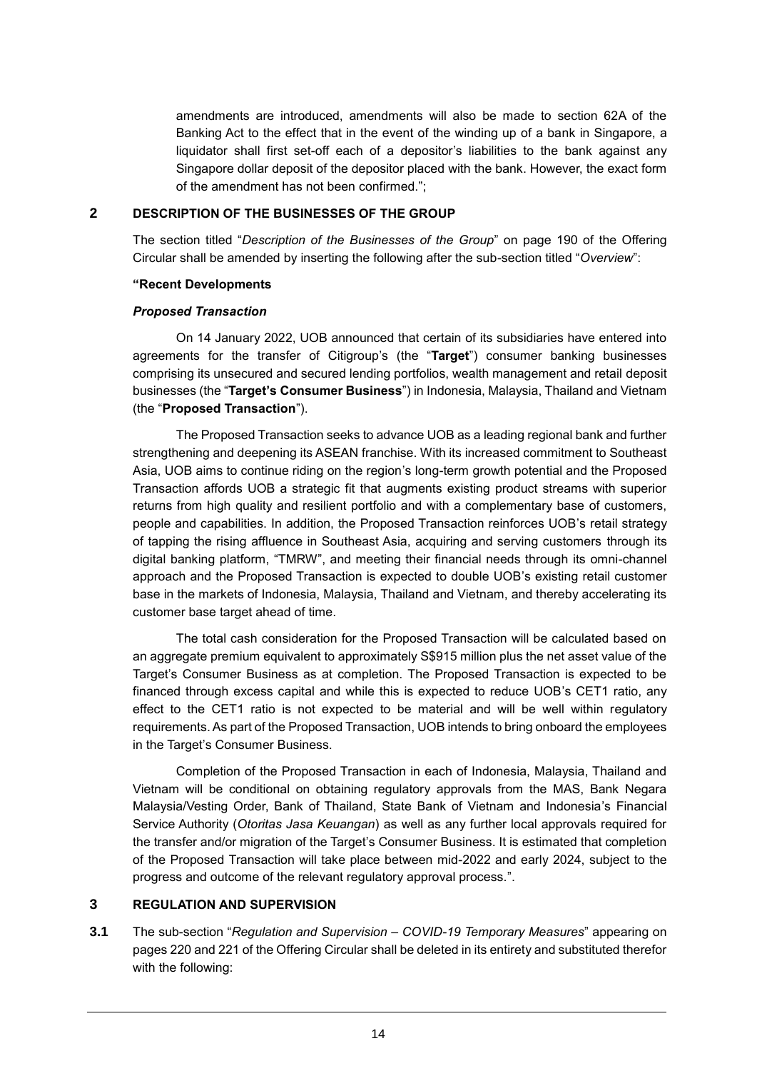amendments are introduced, amendments will also be made to section 62A of the Banking Act to the effect that in the event of the winding up of a bank in Singapore, a liquidator shall first set-off each of a depositor's liabilities to the bank against any Singapore dollar deposit of the depositor placed with the bank. However, the exact form of the amendment has not been confirmed.";

## **2 DESCRIPTION OF THE BUSINESSES OF THE GROUP**

The section titled "*Description of the Businesses of the Group*" on page 190 of the Offering Circular shall be amended by inserting the following after the sub-section titled "*Overview*":

#### **"Recent Developments**

#### *Proposed Transaction*

On 14 January 2022, UOB announced that certain of its subsidiaries have entered into agreements for the transfer of Citigroup's (the "**Target**") consumer banking businesses comprising its unsecured and secured lending portfolios, wealth management and retail deposit businesses (the "**Target's Consumer Business**") in Indonesia, Malaysia, Thailand and Vietnam (the "**Proposed Transaction**").

The Proposed Transaction seeks to advance UOB as a leading regional bank and further strengthening and deepening its ASEAN franchise. With its increased commitment to Southeast Asia, UOB aims to continue riding on the region's long-term growth potential and the Proposed Transaction affords UOB a strategic fit that augments existing product streams with superior returns from high quality and resilient portfolio and with a complementary base of customers, people and capabilities. In addition, the Proposed Transaction reinforces UOB's retail strategy of tapping the rising affluence in Southeast Asia, acquiring and serving customers through its digital banking platform, "TMRW", and meeting their financial needs through its omni-channel approach and the Proposed Transaction is expected to double UOB's existing retail customer base in the markets of Indonesia, Malaysia, Thailand and Vietnam, and thereby accelerating its customer base target ahead of time.

The total cash consideration for the Proposed Transaction will be calculated based on an aggregate premium equivalent to approximately S\$915 million plus the net asset value of the Target's Consumer Business as at completion. The Proposed Transaction is expected to be financed through excess capital and while this is expected to reduce UOB's CET1 ratio, any effect to the CET1 ratio is not expected to be material and will be well within regulatory requirements. As part of the Proposed Transaction, UOB intends to bring onboard the employees in the Target's Consumer Business.

Completion of the Proposed Transaction in each of Indonesia, Malaysia, Thailand and Vietnam will be conditional on obtaining regulatory approvals from the MAS, Bank Negara Malaysia/Vesting Order, Bank of Thailand, State Bank of Vietnam and Indonesia's Financial Service Authority (*Otoritas Jasa Keuangan*) as well as any further local approvals required for the transfer and/or migration of the Target's Consumer Business. It is estimated that completion of the Proposed Transaction will take place between mid-2022 and early 2024, subject to the progress and outcome of the relevant regulatory approval process.".

#### **3 REGULATION AND SUPERVISION**

**3.1** The sub-section "*Regulation and Supervision – COVID-19 Temporary Measures*" appearing on pages 220 and 221 of the Offering Circular shall be deleted in its entirety and substituted therefor with the following: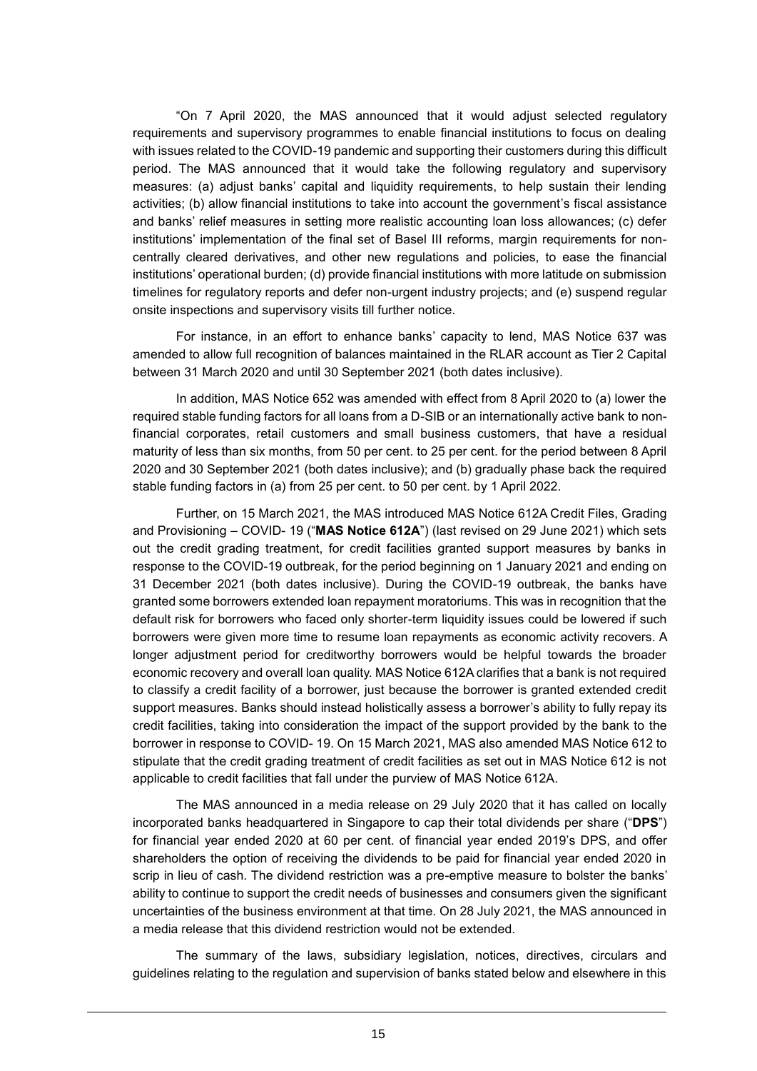"On 7 April 2020, the MAS announced that it would adjust selected regulatory requirements and supervisory programmes to enable financial institutions to focus on dealing with issues related to the COVID-19 pandemic and supporting their customers during this difficult period. The MAS announced that it would take the following regulatory and supervisory measures: (a) adjust banks' capital and liquidity requirements, to help sustain their lending activities; (b) allow financial institutions to take into account the government's fiscal assistance and banks' relief measures in setting more realistic accounting loan loss allowances; (c) defer institutions' implementation of the final set of Basel III reforms, margin requirements for noncentrally cleared derivatives, and other new regulations and policies, to ease the financial institutions' operational burden; (d) provide financial institutions with more latitude on submission timelines for regulatory reports and defer non-urgent industry projects; and (e) suspend regular onsite inspections and supervisory visits till further notice.

For instance, in an effort to enhance banks' capacity to lend, MAS Notice 637 was amended to allow full recognition of balances maintained in the RLAR account as Tier 2 Capital between 31 March 2020 and until 30 September 2021 (both dates inclusive).

In addition, MAS Notice 652 was amended with effect from 8 April 2020 to (a) lower the required stable funding factors for all loans from a D-SIB or an internationally active bank to nonfinancial corporates, retail customers and small business customers, that have a residual maturity of less than six months, from 50 per cent. to 25 per cent. for the period between 8 April 2020 and 30 September 2021 (both dates inclusive); and (b) gradually phase back the required stable funding factors in (a) from 25 per cent. to 50 per cent. by 1 April 2022.

Further, on 15 March 2021, the MAS introduced MAS Notice 612A Credit Files, Grading and Provisioning – COVID- 19 ("**MAS Notice 612A**") (last revised on 29 June 2021) which sets out the credit grading treatment, for credit facilities granted support measures by banks in response to the COVID-19 outbreak, for the period beginning on 1 January 2021 and ending on 31 December 2021 (both dates inclusive). During the COVID-19 outbreak, the banks have granted some borrowers extended loan repayment moratoriums. This was in recognition that the default risk for borrowers who faced only shorter-term liquidity issues could be lowered if such borrowers were given more time to resume loan repayments as economic activity recovers. A longer adjustment period for creditworthy borrowers would be helpful towards the broader economic recovery and overall loan quality. MAS Notice 612A clarifies that a bank is not required to classify a credit facility of a borrower, just because the borrower is granted extended credit support measures. Banks should instead holistically assess a borrower's ability to fully repay its credit facilities, taking into consideration the impact of the support provided by the bank to the borrower in response to COVID- 19. On 15 March 2021, MAS also amended MAS Notice 612 to stipulate that the credit grading treatment of credit facilities as set out in MAS Notice 612 is not applicable to credit facilities that fall under the purview of MAS Notice 612A.

The MAS announced in a media release on 29 July 2020 that it has called on locally incorporated banks headquartered in Singapore to cap their total dividends per share ("**DPS**") for financial year ended 2020 at 60 per cent. of financial year ended 2019's DPS, and offer shareholders the option of receiving the dividends to be paid for financial year ended 2020 in scrip in lieu of cash. The dividend restriction was a pre-emptive measure to bolster the banks' ability to continue to support the credit needs of businesses and consumers given the significant uncertainties of the business environment at that time. On 28 July 2021, the MAS announced in a media release that this dividend restriction would not be extended.

The summary of the laws, subsidiary legislation, notices, directives, circulars and guidelines relating to the regulation and supervision of banks stated below and elsewhere in this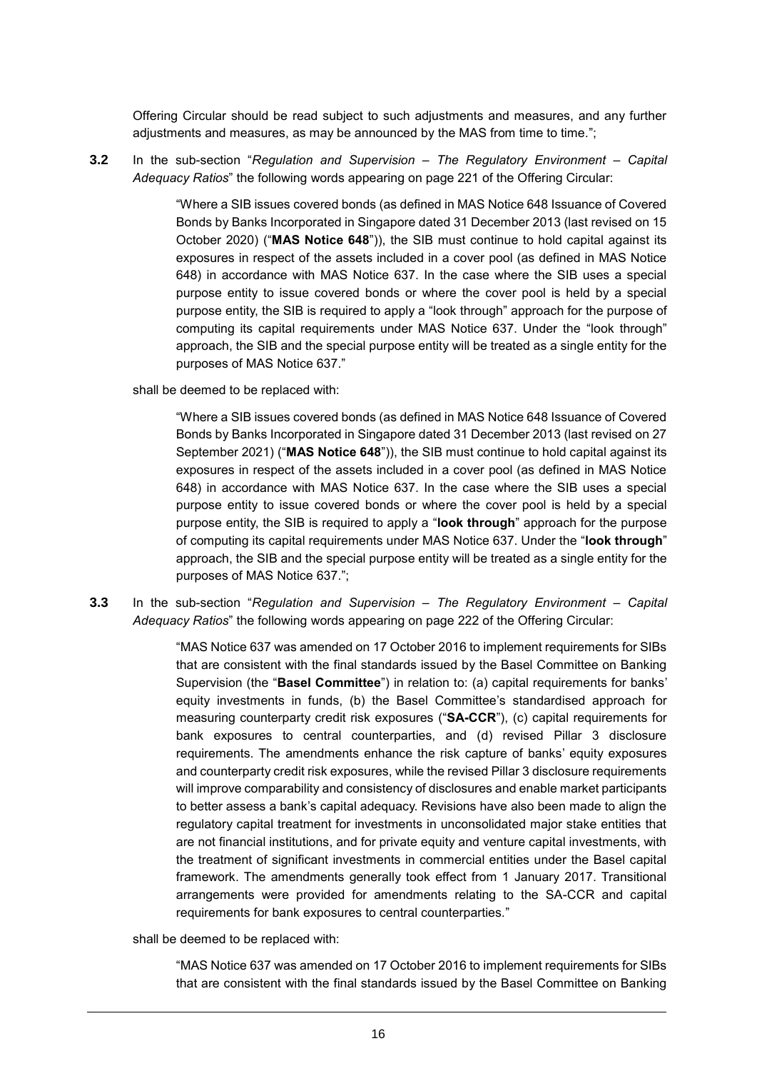Offering Circular should be read subject to such adjustments and measures, and any further adjustments and measures, as may be announced by the MAS from time to time.";

**3.2** In the sub-section "*Regulation and Supervision – The Regulatory Environment – Capital Adequacy Ratios*" the following words appearing on page 221 of the Offering Circular:

> "Where a SIB issues covered bonds (as defined in MAS Notice 648 Issuance of Covered Bonds by Banks Incorporated in Singapore dated 31 December 2013 (last revised on 15 October 2020) ("**MAS Notice 648**")), the SIB must continue to hold capital against its exposures in respect of the assets included in a cover pool (as defined in MAS Notice 648) in accordance with MAS Notice 637. In the case where the SIB uses a special purpose entity to issue covered bonds or where the cover pool is held by a special purpose entity, the SIB is required to apply a "look through" approach for the purpose of computing its capital requirements under MAS Notice 637. Under the "look through" approach, the SIB and the special purpose entity will be treated as a single entity for the purposes of MAS Notice 637."

shall be deemed to be replaced with:

"Where a SIB issues covered bonds (as defined in MAS Notice 648 Issuance of Covered Bonds by Banks Incorporated in Singapore dated 31 December 2013 (last revised on 27 September 2021) ("**MAS Notice 648**")), the SIB must continue to hold capital against its exposures in respect of the assets included in a cover pool (as defined in MAS Notice 648) in accordance with MAS Notice 637. In the case where the SIB uses a special purpose entity to issue covered bonds or where the cover pool is held by a special purpose entity, the SIB is required to apply a "**look through**" approach for the purpose of computing its capital requirements under MAS Notice 637. Under the "**look through**" approach, the SIB and the special purpose entity will be treated as a single entity for the purposes of MAS Notice 637.";

**3.3** In the sub-section "*Regulation and Supervision – The Regulatory Environment – Capital Adequacy Ratios*" the following words appearing on page 222 of the Offering Circular:

> "MAS Notice 637 was amended on 17 October 2016 to implement requirements for SIBs that are consistent with the final standards issued by the Basel Committee on Banking Supervision (the "**Basel Committee**") in relation to: (a) capital requirements for banks' equity investments in funds, (b) the Basel Committee's standardised approach for measuring counterparty credit risk exposures ("**SA-CCR**"), (c) capital requirements for bank exposures to central counterparties, and (d) revised Pillar 3 disclosure requirements. The amendments enhance the risk capture of banks' equity exposures and counterparty credit risk exposures, while the revised Pillar 3 disclosure requirements will improve comparability and consistency of disclosures and enable market participants to better assess a bank's capital adequacy. Revisions have also been made to align the regulatory capital treatment for investments in unconsolidated major stake entities that are not financial institutions, and for private equity and venture capital investments, with the treatment of significant investments in commercial entities under the Basel capital framework. The amendments generally took effect from 1 January 2017. Transitional arrangements were provided for amendments relating to the SA-CCR and capital requirements for bank exposures to central counterparties."

shall be deemed to be replaced with:

"MAS Notice 637 was amended on 17 October 2016 to implement requirements for SIBs that are consistent with the final standards issued by the Basel Committee on Banking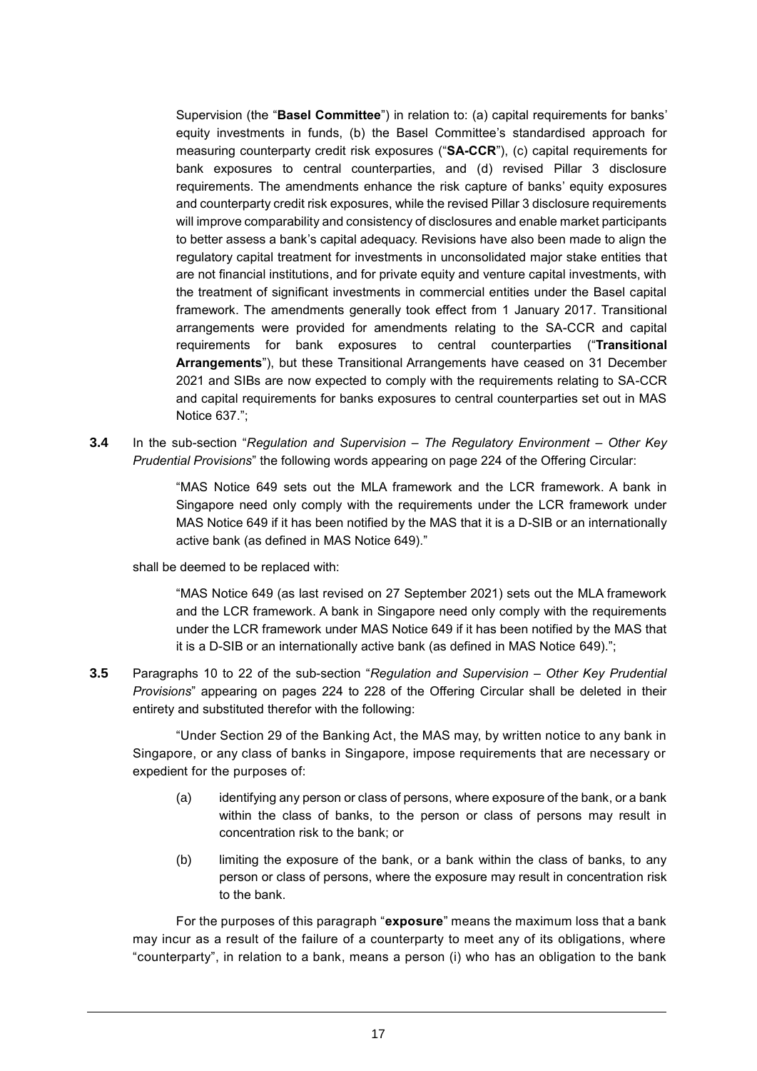Supervision (the "**Basel Committee**") in relation to: (a) capital requirements for banks' equity investments in funds, (b) the Basel Committee's standardised approach for measuring counterparty credit risk exposures ("**SA-CCR**"), (c) capital requirements for bank exposures to central counterparties, and (d) revised Pillar 3 disclosure requirements. The amendments enhance the risk capture of banks' equity exposures and counterparty credit risk exposures, while the revised Pillar 3 disclosure requirements will improve comparability and consistency of disclosures and enable market participants to better assess a bank's capital adequacy. Revisions have also been made to align the regulatory capital treatment for investments in unconsolidated major stake entities that are not financial institutions, and for private equity and venture capital investments, with the treatment of significant investments in commercial entities under the Basel capital framework. The amendments generally took effect from 1 January 2017. Transitional arrangements were provided for amendments relating to the SA-CCR and capital requirements for bank exposures to central counterparties ("**Transitional Arrangements**"), but these Transitional Arrangements have ceased on 31 December 2021 and SIBs are now expected to comply with the requirements relating to SA-CCR and capital requirements for banks exposures to central counterparties set out in MAS Notice 637.";

**3.4** In the sub-section "*Regulation and Supervision – The Regulatory Environment – Other Key Prudential Provisions*" the following words appearing on page 224 of the Offering Circular:

> "MAS Notice 649 sets out the MLA framework and the LCR framework. A bank in Singapore need only comply with the requirements under the LCR framework under MAS Notice 649 if it has been notified by the MAS that it is a D-SIB or an internationally active bank (as defined in MAS Notice 649)."

shall be deemed to be replaced with:

"MAS Notice 649 (as last revised on 27 September 2021) sets out the MLA framework and the LCR framework. A bank in Singapore need only comply with the requirements under the LCR framework under MAS Notice 649 if it has been notified by the MAS that it is a D-SIB or an internationally active bank (as defined in MAS Notice 649).";

**3.5** Paragraphs 10 to 22 of the sub-section "*Regulation and Supervision – Other Key Prudential Provisions*" appearing on pages 224 to 228 of the Offering Circular shall be deleted in their entirety and substituted therefor with the following:

"Under Section 29 of the Banking Act, the MAS may, by written notice to any bank in Singapore, or any class of banks in Singapore, impose requirements that are necessary or expedient for the purposes of:

- (a) identifying any person or class of persons, where exposure of the bank, or a bank within the class of banks, to the person or class of persons may result in concentration risk to the bank; or
- (b) limiting the exposure of the bank, or a bank within the class of banks, to any person or class of persons, where the exposure may result in concentration risk to the bank.

For the purposes of this paragraph "**exposure**" means the maximum loss that a bank may incur as a result of the failure of a counterparty to meet any of its obligations, where "counterparty", in relation to a bank, means a person (i) who has an obligation to the bank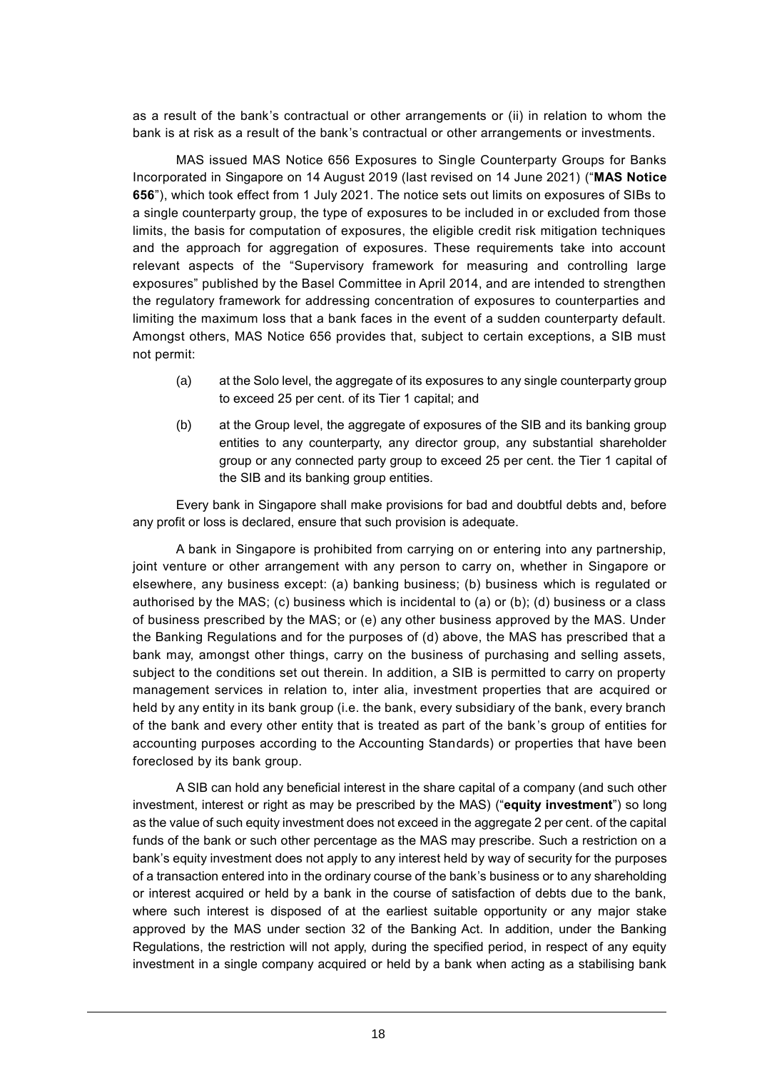as a result of the bank's contractual or other arrangements or (ii) in relation to whom the bank is at risk as a result of the bank's contractual or other arrangements or investments.

MAS issued MAS Notice 656 Exposures to Single Counterparty Groups for Banks Incorporated in Singapore on 14 August 2019 (last revised on 14 June 2021) ("**MAS Notice 656**"), which took effect from 1 July 2021. The notice sets out limits on exposures of SIBs to a single counterparty group, the type of exposures to be included in or excluded from those limits, the basis for computation of exposures, the eligible credit risk mitigation techniques and the approach for aggregation of exposures. These requirements take into account relevant aspects of the "Supervisory framework for measuring and controlling large exposures" published by the Basel Committee in April 2014, and are intended to strengthen the regulatory framework for addressing concentration of exposures to counterparties and limiting the maximum loss that a bank faces in the event of a sudden counterparty default. Amongst others, MAS Notice 656 provides that, subject to certain exceptions, a SIB must not permit:

- (a) at the Solo level, the aggregate of its exposures to any single counterparty group to exceed 25 per cent. of its Tier 1 capital; and
- (b) at the Group level, the aggregate of exposures of the SIB and its banking group entities to any counterparty, any director group, any substantial shareholder group or any connected party group to exceed 25 per cent. the Tier 1 capital of the SIB and its banking group entities.

Every bank in Singapore shall make provisions for bad and doubtful debts and, before any profit or loss is declared, ensure that such provision is adequate.

A bank in Singapore is prohibited from carrying on or entering into any partnership, joint venture or other arrangement with any person to carry on, whether in Singapore or elsewhere, any business except: (a) banking business; (b) business which is regulated or authorised by the MAS; (c) business which is incidental to (a) or (b); (d) business or a class of business prescribed by the MAS; or (e) any other business approved by the MAS. Under the Banking Regulations and for the purposes of (d) above, the MAS has prescribed that a bank may, amongst other things, carry on the business of purchasing and selling assets, subject to the conditions set out therein. In addition, a SIB is permitted to carry on property management services in relation to, inter alia, investment properties that are acquired or held by any entity in its bank group (i.e. the bank, every subsidiary of the bank, every branch of the bank and every other entity that is treated as part of the bank's group of entities for accounting purposes according to the Accounting Standards) or properties that have been foreclosed by its bank group.

A SIB can hold any beneficial interest in the share capital of a company (and such other investment, interest or right as may be prescribed by the MAS) ("**equity investment**") so long as the value of such equity investment does not exceed in the aggregate 2 per cent. of the capital funds of the bank or such other percentage as the MAS may prescribe. Such a restriction on a bank's equity investment does not apply to any interest held by way of security for the purposes of a transaction entered into in the ordinary course of the bank's business or to any shareholding or interest acquired or held by a bank in the course of satisfaction of debts due to the bank, where such interest is disposed of at the earliest suitable opportunity or any major stake approved by the MAS under section 32 of the Banking Act. In addition, under the Banking Regulations, the restriction will not apply, during the specified period, in respect of any equity investment in a single company acquired or held by a bank when acting as a stabilising bank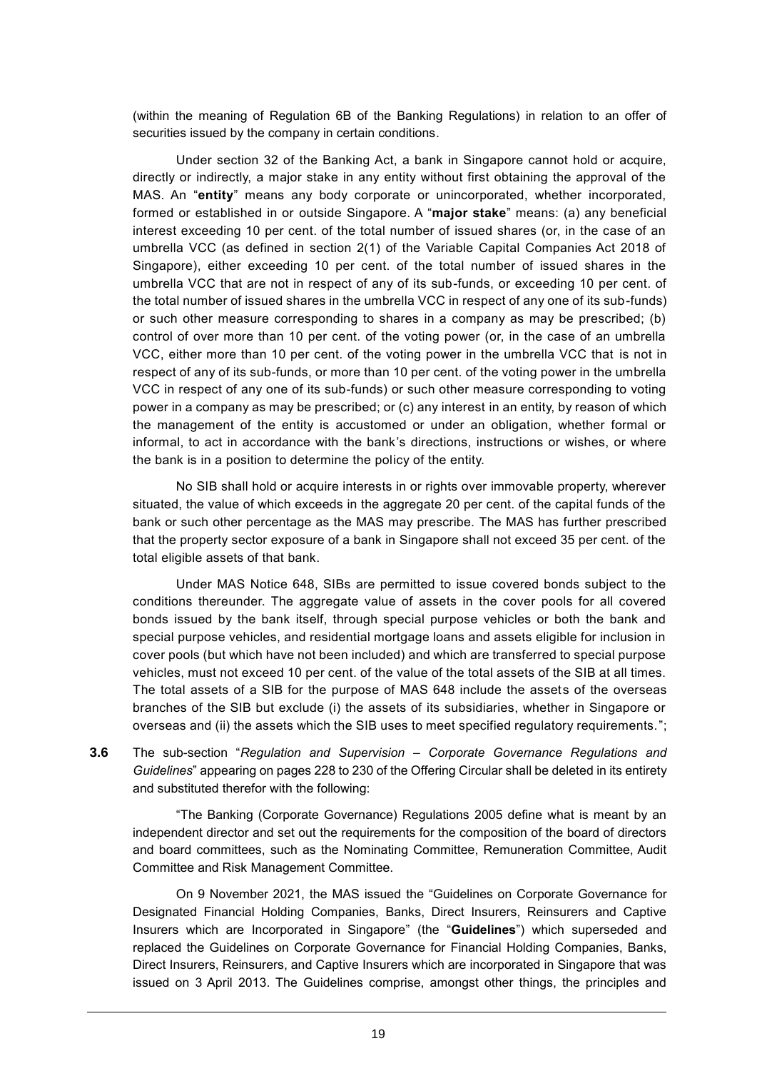(within the meaning of Regulation 6B of the Banking Regulations) in relation to an offer of securities issued by the company in certain conditions.

Under section 32 of the Banking Act, a bank in Singapore cannot hold or acquire, directly or indirectly, a major stake in any entity without first obtaining the approval of the MAS. An "**entity**" means any body corporate or unincorporated, whether incorporated, formed or established in or outside Singapore. A "**major stake**" means: (a) any beneficial interest exceeding 10 per cent. of the total number of issued shares (or, in the case of an umbrella VCC (as defined in section 2(1) of the Variable Capital Companies Act 2018 of Singapore), either exceeding 10 per cent. of the total number of issued shares in the umbrella VCC that are not in respect of any of its sub-funds, or exceeding 10 per cent. of the total number of issued shares in the umbrella VCC in respect of any one of its sub-funds) or such other measure corresponding to shares in a company as may be prescribed; (b) control of over more than 10 per cent. of the voting power (or, in the case of an umbrella VCC, either more than 10 per cent. of the voting power in the umbrella VCC that is not in respect of any of its sub-funds, or more than 10 per cent. of the voting power in the umbrella VCC in respect of any one of its sub-funds) or such other measure corresponding to voting power in a company as may be prescribed; or (c) any interest in an entity, by reason of which the management of the entity is accustomed or under an obligation, whether formal or informal, to act in accordance with the bank's directions, instructions or wishes, or where the bank is in a position to determine the policy of the entity.

No SIB shall hold or acquire interests in or rights over immovable property, wherever situated, the value of which exceeds in the aggregate 20 per cent. of the capital funds of the bank or such other percentage as the MAS may prescribe. The MAS has further prescribed that the property sector exposure of a bank in Singapore shall not exceed 35 per cent. of the total eligible assets of that bank.

Under MAS Notice 648, SIBs are permitted to issue covered bonds subject to the conditions thereunder. The aggregate value of assets in the cover pools for all covered bonds issued by the bank itself, through special purpose vehicles or both the bank and special purpose vehicles, and residential mortgage loans and assets eligible for inclusion in cover pools (but which have not been included) and which are transferred to special purpose vehicles, must not exceed 10 per cent. of the value of the total assets of the SIB at all times. The total assets of a SIB for the purpose of MAS 648 include the assets of the overseas branches of the SIB but exclude (i) the assets of its subsidiaries, whether in Singapore or overseas and (ii) the assets which the SIB uses to meet specified regulatory requirements.";

**3.6** The sub-section "*Regulation and Supervision – Corporate Governance Regulations and Guidelines*" appearing on pages 228 to 230 of the Offering Circular shall be deleted in its entirety and substituted therefor with the following:

"The Banking (Corporate Governance) Regulations 2005 define what is meant by an independent director and set out the requirements for the composition of the board of directors and board committees, such as the Nominating Committee, Remuneration Committee, Audit Committee and Risk Management Committee.

On 9 November 2021, the MAS issued the "Guidelines on Corporate Governance for Designated Financial Holding Companies, Banks, Direct Insurers, Reinsurers and Captive Insurers which are Incorporated in Singapore" (the "**Guidelines**") which superseded and replaced the Guidelines on Corporate Governance for Financial Holding Companies, Banks, Direct Insurers, Reinsurers, and Captive Insurers which are incorporated in Singapore that was issued on 3 April 2013. The Guidelines comprise, amongst other things, the principles and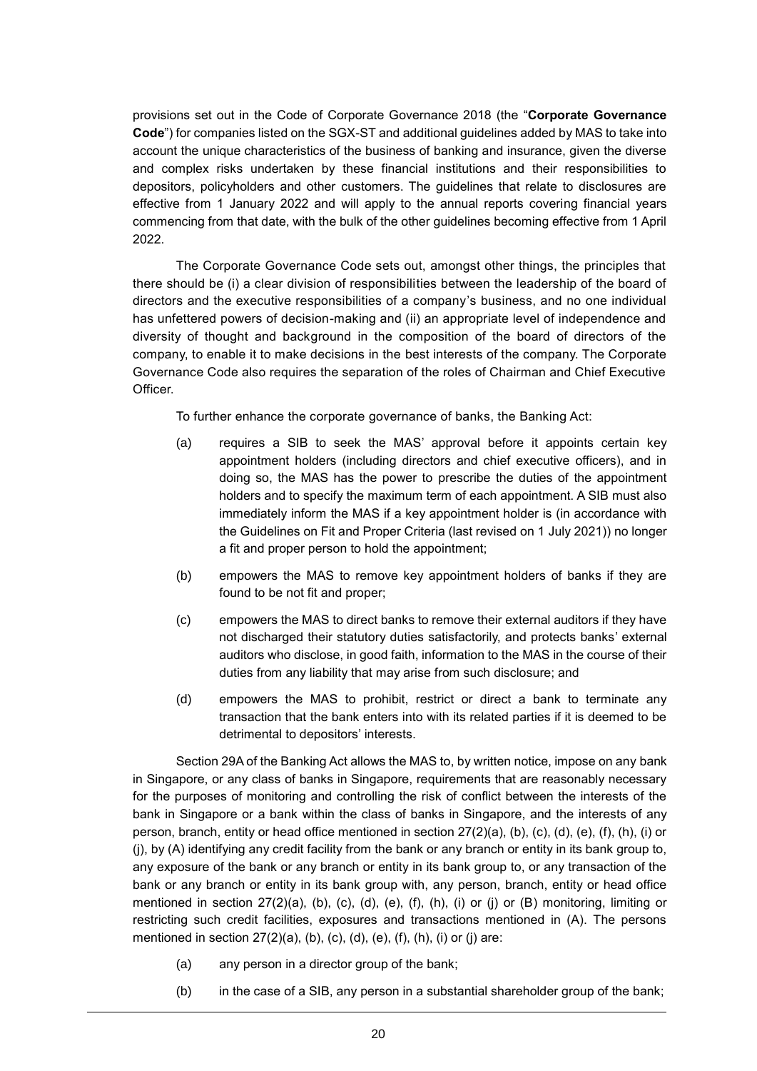provisions set out in the Code of Corporate Governance 2018 (the "**Corporate Governance Code**") for companies listed on the SGX-ST and additional guidelines added by MAS to take into account the unique characteristics of the business of banking and insurance, given the diverse and complex risks undertaken by these financial institutions and their responsibilities to depositors, policyholders and other customers. The guidelines that relate to disclosures are effective from 1 January 2022 and will apply to the annual reports covering financial years commencing from that date, with the bulk of the other guidelines becoming effective from 1 April 2022.

The Corporate Governance Code sets out, amongst other things, the principles that there should be (i) a clear division of responsibilities between the leadership of the board of directors and the executive responsibilities of a company's business, and no one individual has unfettered powers of decision-making and (ii) an appropriate level of independence and diversity of thought and background in the composition of the board of directors of the company, to enable it to make decisions in the best interests of the company. The Corporate Governance Code also requires the separation of the roles of Chairman and Chief Executive Officer.

To further enhance the corporate governance of banks, the Banking Act:

- (a) requires a SIB to seek the MAS' approval before it appoints certain key appointment holders (including directors and chief executive officers), and in doing so, the MAS has the power to prescribe the duties of the appointment holders and to specify the maximum term of each appointment. A SIB must also immediately inform the MAS if a key appointment holder is (in accordance with the Guidelines on Fit and Proper Criteria (last revised on 1 July 2021)) no longer a fit and proper person to hold the appointment;
- (b) empowers the MAS to remove key appointment holders of banks if they are found to be not fit and proper;
- (c) empowers the MAS to direct banks to remove their external auditors if they have not discharged their statutory duties satisfactorily, and protects banks' external auditors who disclose, in good faith, information to the MAS in the course of their duties from any liability that may arise from such disclosure; and
- (d) empowers the MAS to prohibit, restrict or direct a bank to terminate any transaction that the bank enters into with its related parties if it is deemed to be detrimental to depositors' interests.

Section 29A of the Banking Act allows the MAS to, by written notice, impose on any bank in Singapore, or any class of banks in Singapore, requirements that are reasonably necessary for the purposes of monitoring and controlling the risk of conflict between the interests of the bank in Singapore or a bank within the class of banks in Singapore, and the interests of any person, branch, entity or head office mentioned in section 27(2)(a), (b), (c), (d), (e), (f), (h), (i) or (j), by (A) identifying any credit facility from the bank or any branch or entity in its bank group to, any exposure of the bank or any branch or entity in its bank group to, or any transaction of the bank or any branch or entity in its bank group with, any person, branch, entity or head office mentioned in section  $27(2)(a)$ , (b), (c), (d), (e), (f), (h), (i) or (i) or (B) monitoring, limiting or restricting such credit facilities, exposures and transactions mentioned in (A). The persons mentioned in section  $27(2)(a)$ , (b), (c), (d), (e), (f), (h), (i) or (j) are:

- (a) any person in a director group of the bank;
- (b) in the case of a SIB, any person in a substantial shareholder group of the bank;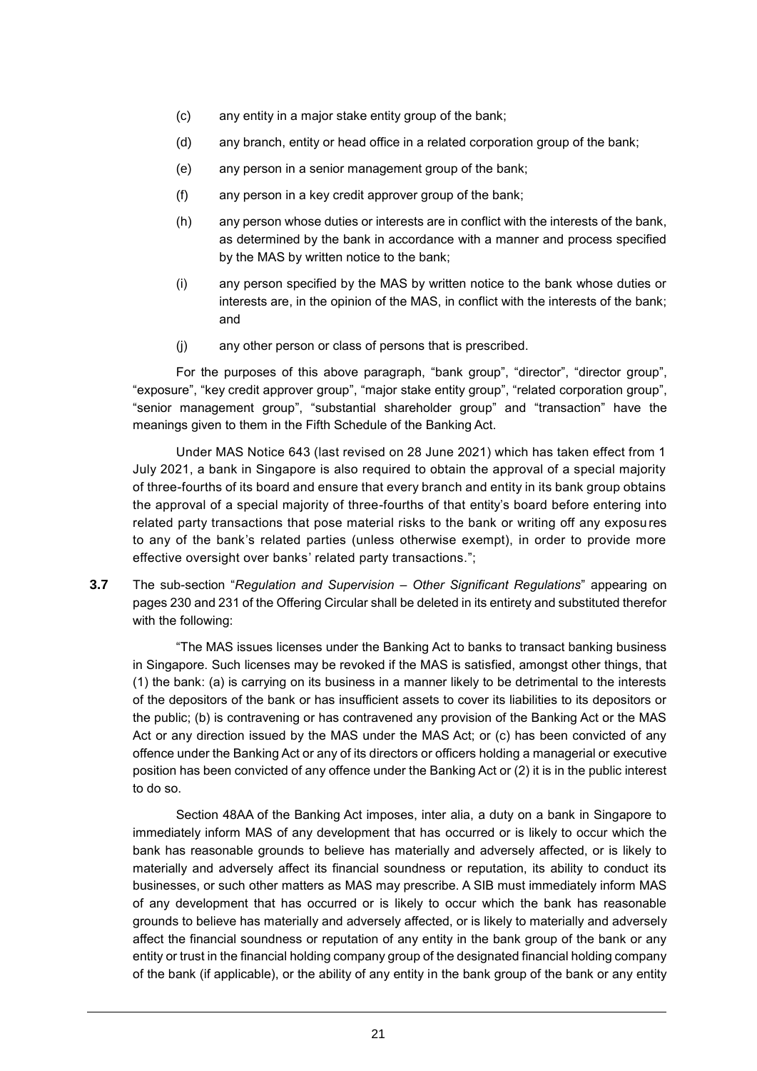- (c) any entity in a major stake entity group of the bank;
- (d) any branch, entity or head office in a related corporation group of the bank;
- (e) any person in a senior management group of the bank;
- (f) any person in a key credit approver group of the bank;
- (h) any person whose duties or interests are in conflict with the interests of the bank, as determined by the bank in accordance with a manner and process specified by the MAS by written notice to the bank;
- (i) any person specified by the MAS by written notice to the bank whose duties or interests are, in the opinion of the MAS, in conflict with the interests of the bank; and
- (j) any other person or class of persons that is prescribed.

For the purposes of this above paragraph, "bank group", "director", "director group", "exposure", "key credit approver group", "major stake entity group", "related corporation group", "senior management group", "substantial shareholder group" and "transaction" have the meanings given to them in the Fifth Schedule of the Banking Act.

Under MAS Notice 643 (last revised on 28 June 2021) which has taken effect from 1 July 2021, a bank in Singapore is also required to obtain the approval of a special majority of three-fourths of its board and ensure that every branch and entity in its bank group obtains the approval of a special majority of three-fourths of that entity's board before entering into related party transactions that pose material risks to the bank or writing off any exposu res to any of the bank's related parties (unless otherwise exempt), in order to provide more effective oversight over banks' related party transactions.";

**3.7** The sub-section "*Regulation and Supervision – Other Significant Regulations*" appearing on pages 230 and 231 of the Offering Circular shall be deleted in its entirety and substituted therefor with the following:

"The MAS issues licenses under the Banking Act to banks to transact banking business in Singapore. Such licenses may be revoked if the MAS is satisfied, amongst other things, that (1) the bank: (a) is carrying on its business in a manner likely to be detrimental to the interests of the depositors of the bank or has insufficient assets to cover its liabilities to its depositors or the public; (b) is contravening or has contravened any provision of the Banking Act or the MAS Act or any direction issued by the MAS under the MAS Act; or (c) has been convicted of any offence under the Banking Act or any of its directors or officers holding a managerial or executive position has been convicted of any offence under the Banking Act or (2) it is in the public interest to do so.

Section 48AA of the Banking Act imposes, inter alia, a duty on a bank in Singapore to immediately inform MAS of any development that has occurred or is likely to occur which the bank has reasonable grounds to believe has materially and adversely affected, or is likely to materially and adversely affect its financial soundness or reputation, its ability to conduct its businesses, or such other matters as MAS may prescribe. A SIB must immediately inform MAS of any development that has occurred or is likely to occur which the bank has reasonable grounds to believe has materially and adversely affected, or is likely to materially and adversely affect the financial soundness or reputation of any entity in the bank group of the bank or any entity or trust in the financial holding company group of the designated financial holding company of the bank (if applicable), or the ability of any entity in the bank group of the bank or any entity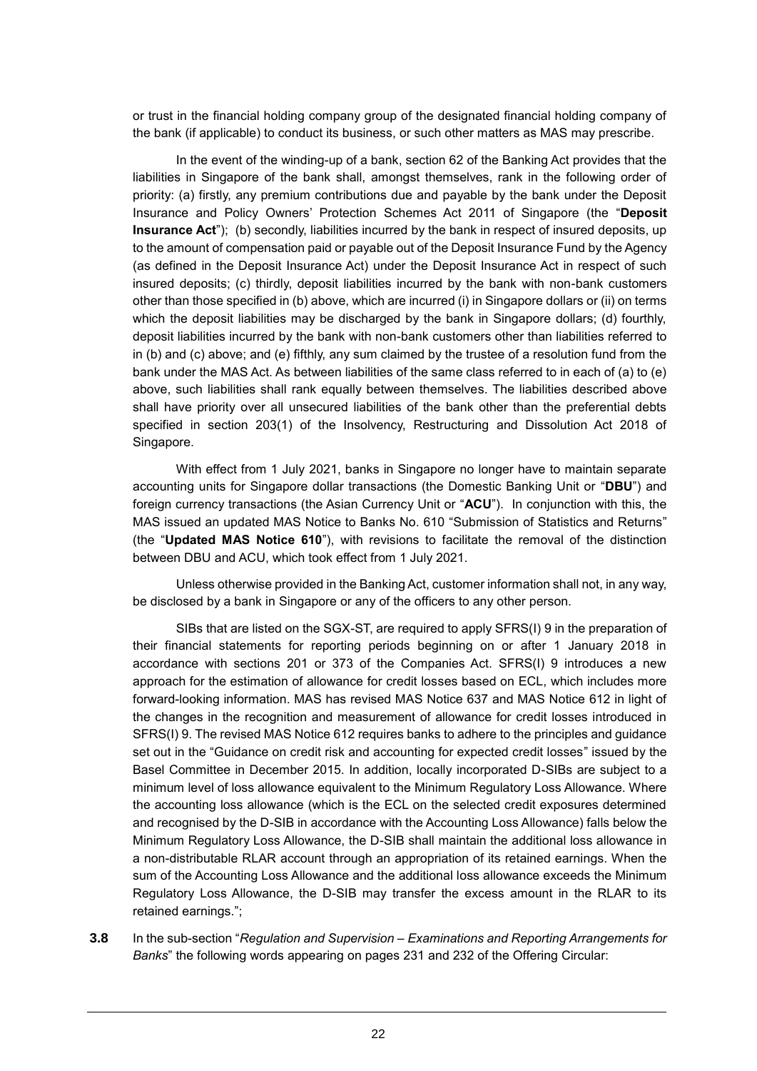or trust in the financial holding company group of the designated financial holding company of the bank (if applicable) to conduct its business, or such other matters as MAS may prescribe.

In the event of the winding-up of a bank, section 62 of the Banking Act provides that the liabilities in Singapore of the bank shall, amongst themselves, rank in the following order of priority: (a) firstly, any premium contributions due and payable by the bank under the Deposit Insurance and Policy Owners' Protection Schemes Act 2011 of Singapore (the "**Deposit Insurance Act**"); (b) secondly, liabilities incurred by the bank in respect of insured deposits, up to the amount of compensation paid or payable out of the Deposit Insurance Fund by the Agency (as defined in the Deposit Insurance Act) under the Deposit Insurance Act in respect of such insured deposits; (c) thirdly, deposit liabilities incurred by the bank with non-bank customers other than those specified in (b) above, which are incurred (i) in Singapore dollars or (ii) on terms which the deposit liabilities may be discharged by the bank in Singapore dollars; (d) fourthly, deposit liabilities incurred by the bank with non-bank customers other than liabilities referred to in (b) and (c) above; and (e) fifthly, any sum claimed by the trustee of a resolution fund from the bank under the MAS Act. As between liabilities of the same class referred to in each of (a) to (e) above, such liabilities shall rank equally between themselves. The liabilities described above shall have priority over all unsecured liabilities of the bank other than the preferential debts specified in section 203(1) of the Insolvency, Restructuring and Dissolution Act 2018 of Singapore.

With effect from 1 July 2021, banks in Singapore no longer have to maintain separate accounting units for Singapore dollar transactions (the Domestic Banking Unit or "**DBU**") and foreign currency transactions (the Asian Currency Unit or "**ACU**"). In conjunction with this, the MAS issued an updated MAS Notice to Banks No. 610 "Submission of Statistics and Returns" (the "**Updated MAS Notice 610**"), with revisions to facilitate the removal of the distinction between DBU and ACU, which took effect from 1 July 2021.

Unless otherwise provided in the Banking Act, customer information shall not, in any way, be disclosed by a bank in Singapore or any of the officers to any other person.

SIBs that are listed on the SGX-ST, are required to apply SFRS(I) 9 in the preparation of their financial statements for reporting periods beginning on or after 1 January 2018 in accordance with sections 201 or 373 of the Companies Act. SFRS(I) 9 introduces a new approach for the estimation of allowance for credit losses based on ECL, which includes more forward-looking information. MAS has revised MAS Notice 637 and MAS Notice 612 in light of the changes in the recognition and measurement of allowance for credit losses introduced in SFRS(I) 9. The revised MAS Notice 612 requires banks to adhere to the principles and guidance set out in the "Guidance on credit risk and accounting for expected credit losses" issued by the Basel Committee in December 2015. In addition, locally incorporated D-SIBs are subject to a minimum level of loss allowance equivalent to the Minimum Regulatory Loss Allowance. Where the accounting loss allowance (which is the ECL on the selected credit exposures determined and recognised by the D-SIB in accordance with the Accounting Loss Allowance) falls below the Minimum Regulatory Loss Allowance, the D-SIB shall maintain the additional loss allowance in a non-distributable RLAR account through an appropriation of its retained earnings. When the sum of the Accounting Loss Allowance and the additional loss allowance exceeds the Minimum Regulatory Loss Allowance, the D-SIB may transfer the excess amount in the RLAR to its retained earnings.";

**3.8** In the sub-section "*Regulation and Supervision – Examinations and Reporting Arrangements for Banks*" the following words appearing on pages 231 and 232 of the Offering Circular: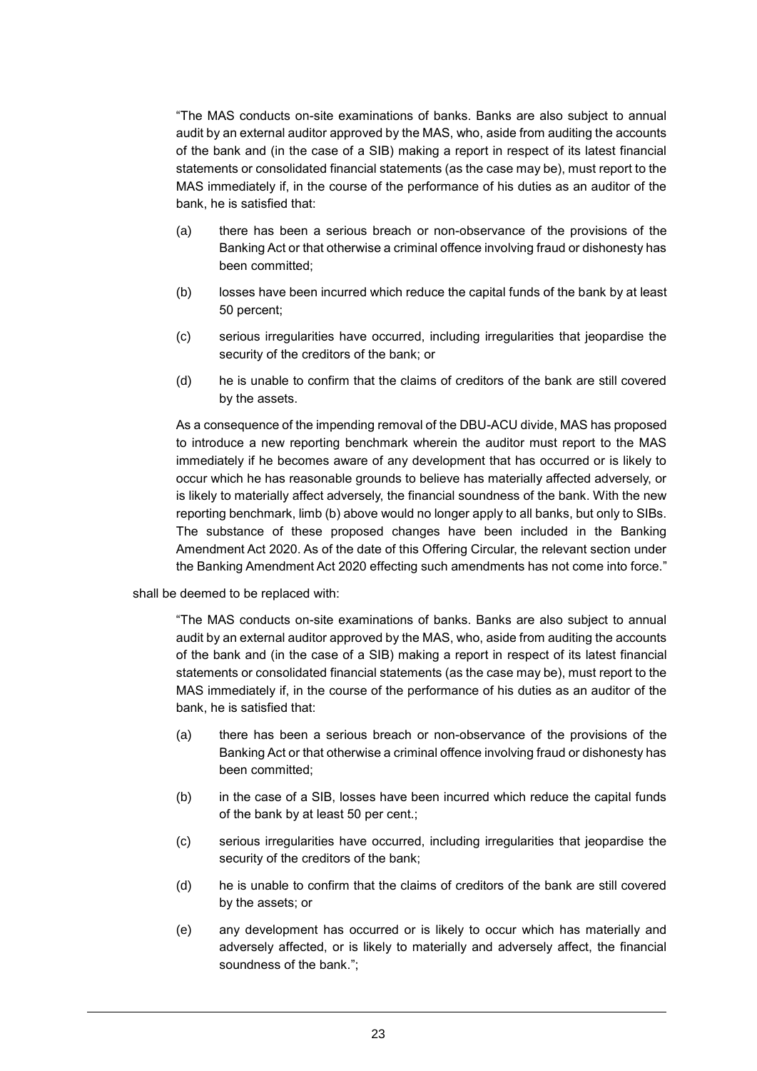"The MAS conducts on-site examinations of banks. Banks are also subject to annual audit by an external auditor approved by the MAS, who, aside from auditing the accounts of the bank and (in the case of a SIB) making a report in respect of its latest financial statements or consolidated financial statements (as the case may be), must report to the MAS immediately if, in the course of the performance of his duties as an auditor of the bank, he is satisfied that:

- (a) there has been a serious breach or non-observance of the provisions of the Banking Act or that otherwise a criminal offence involving fraud or dishonesty has been committed;
- (b) losses have been incurred which reduce the capital funds of the bank by at least 50 percent;
- (c) serious irregularities have occurred, including irregularities that jeopardise the security of the creditors of the bank; or
- (d) he is unable to confirm that the claims of creditors of the bank are still covered by the assets.

As a consequence of the impending removal of the DBU-ACU divide, MAS has proposed to introduce a new reporting benchmark wherein the auditor must report to the MAS immediately if he becomes aware of any development that has occurred or is likely to occur which he has reasonable grounds to believe has materially affected adversely, or is likely to materially affect adversely, the financial soundness of the bank. With the new reporting benchmark, limb (b) above would no longer apply to all banks, but only to SIBs. The substance of these proposed changes have been included in the Banking Amendment Act 2020. As of the date of this Offering Circular, the relevant section under the Banking Amendment Act 2020 effecting such amendments has not come into force."

#### shall be deemed to be replaced with:

"The MAS conducts on-site examinations of banks. Banks are also subject to annual audit by an external auditor approved by the MAS, who, aside from auditing the accounts of the bank and (in the case of a SIB) making a report in respect of its latest financial statements or consolidated financial statements (as the case may be), must report to the MAS immediately if, in the course of the performance of his duties as an auditor of the bank, he is satisfied that:

- (a) there has been a serious breach or non-observance of the provisions of the Banking Act or that otherwise a criminal offence involving fraud or dishonesty has been committed;
- (b) in the case of a SIB, losses have been incurred which reduce the capital funds of the bank by at least 50 per cent.;
- (c) serious irregularities have occurred, including irregularities that jeopardise the security of the creditors of the bank;
- (d) he is unable to confirm that the claims of creditors of the bank are still covered by the assets; or
- (e) any development has occurred or is likely to occur which has materially and adversely affected, or is likely to materially and adversely affect, the financial soundness of the bank.";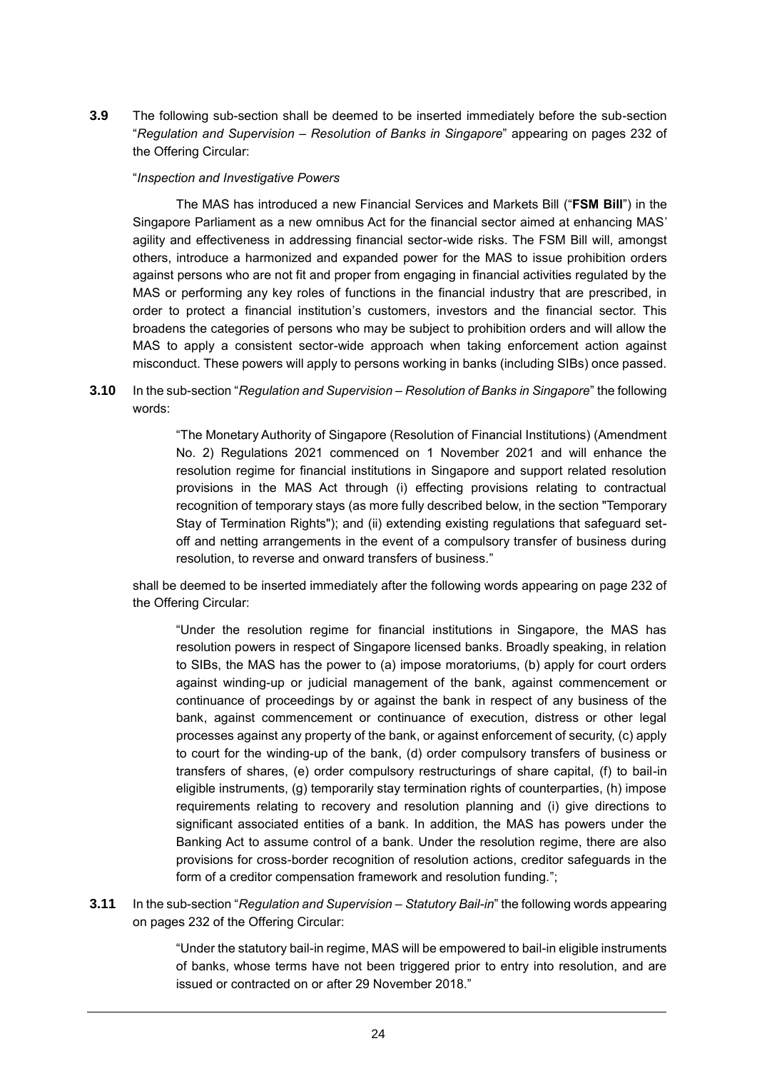**3.9** The following sub-section shall be deemed to be inserted immediately before the sub-section "*Regulation and Supervision – Resolution of Banks in Singapore*" appearing on pages 232 of the Offering Circular:

#### "*Inspection and Investigative Powers*

The MAS has introduced a new Financial Services and Markets Bill ("**FSM Bill**") in the Singapore Parliament as a new omnibus Act for the financial sector aimed at enhancing MAS' agility and effectiveness in addressing financial sector-wide risks. The FSM Bill will, amongst others, introduce a harmonized and expanded power for the MAS to issue prohibition orders against persons who are not fit and proper from engaging in financial activities regulated by the MAS or performing any key roles of functions in the financial industry that are prescribed, in order to protect a financial institution's customers, investors and the financial sector. This broadens the categories of persons who may be subject to prohibition orders and will allow the MAS to apply a consistent sector-wide approach when taking enforcement action against misconduct. These powers will apply to persons working in banks (including SIBs) once passed.

**3.10** In the sub-section "*Regulation and Supervision – Resolution of Banks in Singapore*" the following words:

> "The Monetary Authority of Singapore (Resolution of Financial Institutions) (Amendment No. 2) Regulations 2021 commenced on 1 November 2021 and will enhance the resolution regime for financial institutions in Singapore and support related resolution provisions in the MAS Act through (i) effecting provisions relating to contractual recognition of temporary stays (as more fully described below, in the section "Temporary Stay of Termination Rights"); and (ii) extending existing regulations that safeguard setoff and netting arrangements in the event of a compulsory transfer of business during resolution, to reverse and onward transfers of business."

shall be deemed to be inserted immediately after the following words appearing on page 232 of the Offering Circular:

"Under the resolution regime for financial institutions in Singapore, the MAS has resolution powers in respect of Singapore licensed banks. Broadly speaking, in relation to SIBs, the MAS has the power to (a) impose moratoriums, (b) apply for court orders against winding-up or judicial management of the bank, against commencement or continuance of proceedings by or against the bank in respect of any business of the bank, against commencement or continuance of execution, distress or other legal processes against any property of the bank, or against enforcement of security, (c) apply to court for the winding-up of the bank, (d) order compulsory transfers of business or transfers of shares, (e) order compulsory restructurings of share capital, (f) to bail-in eligible instruments, (g) temporarily stay termination rights of counterparties, (h) impose requirements relating to recovery and resolution planning and (i) give directions to significant associated entities of a bank. In addition, the MAS has powers under the Banking Act to assume control of a bank. Under the resolution regime, there are also provisions for cross-border recognition of resolution actions, creditor safeguards in the form of a creditor compensation framework and resolution funding.";

**3.11** In the sub-section "*Regulation and Supervision – Statutory Bail-in*" the following words appearing on pages 232 of the Offering Circular:

> "Under the statutory bail-in regime, MAS will be empowered to bail-in eligible instruments of banks, whose terms have not been triggered prior to entry into resolution, and are issued or contracted on or after 29 November 2018."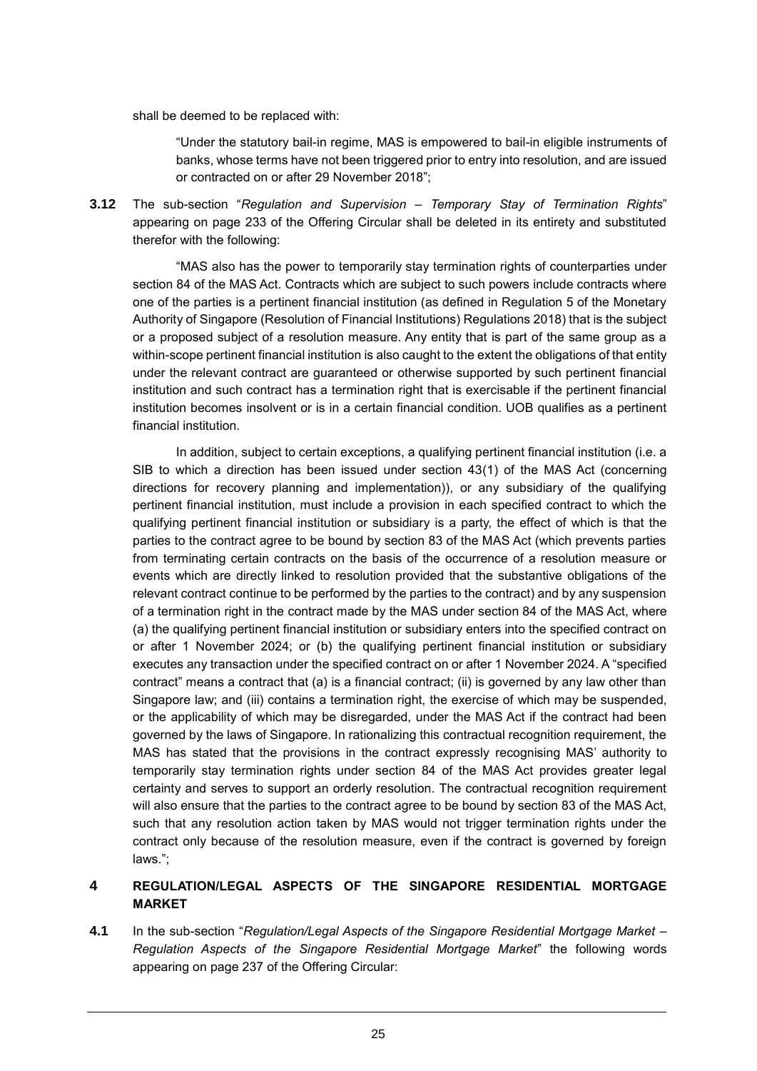shall be deemed to be replaced with:

"Under the statutory bail-in regime, MAS is empowered to bail-in eligible instruments of banks, whose terms have not been triggered prior to entry into resolution, and are issued or contracted on or after 29 November 2018";

**3.12** The sub-section "*Regulation and Supervision – Temporary Stay of Termination Rights*" appearing on page 233 of the Offering Circular shall be deleted in its entirety and substituted therefor with the following:

"MAS also has the power to temporarily stay termination rights of counterparties under section 84 of the MAS Act. Contracts which are subject to such powers include contracts where one of the parties is a pertinent financial institution (as defined in Regulation 5 of the Monetary Authority of Singapore (Resolution of Financial Institutions) Regulations 2018) that is the subject or a proposed subject of a resolution measure. Any entity that is part of the same group as a within-scope pertinent financial institution is also caught to the extent the obligations of that entity under the relevant contract are guaranteed or otherwise supported by such pertinent financial institution and such contract has a termination right that is exercisable if the pertinent financial institution becomes insolvent or is in a certain financial condition. UOB qualifies as a pertinent financial institution.

In addition, subject to certain exceptions, a qualifying pertinent financial institution (i.e. a SIB to which a direction has been issued under section 43(1) of the MAS Act (concerning directions for recovery planning and implementation)), or any subsidiary of the qualifying pertinent financial institution, must include a provision in each specified contract to which the qualifying pertinent financial institution or subsidiary is a party, the effect of which is that the parties to the contract agree to be bound by section 83 of the MAS Act (which prevents parties from terminating certain contracts on the basis of the occurrence of a resolution measure or events which are directly linked to resolution provided that the substantive obligations of the relevant contract continue to be performed by the parties to the contract) and by any suspension of a termination right in the contract made by the MAS under section 84 of the MAS Act, where (a) the qualifying pertinent financial institution or subsidiary enters into the specified contract on or after 1 November 2024; or (b) the qualifying pertinent financial institution or subsidiary executes any transaction under the specified contract on or after 1 November 2024. A "specified contract" means a contract that (a) is a financial contract; (ii) is governed by any law other than Singapore law; and (iii) contains a termination right, the exercise of which may be suspended, or the applicability of which may be disregarded, under the MAS Act if the contract had been governed by the laws of Singapore. In rationalizing this contractual recognition requirement, the MAS has stated that the provisions in the contract expressly recognising MAS' authority to temporarily stay termination rights under section 84 of the MAS Act provides greater legal certainty and serves to support an orderly resolution. The contractual recognition requirement will also ensure that the parties to the contract agree to be bound by section 83 of the MAS Act, such that any resolution action taken by MAS would not trigger termination rights under the contract only because of the resolution measure, even if the contract is governed by foreign laws.";

# **4 REGULATION/LEGAL ASPECTS OF THE SINGAPORE RESIDENTIAL MORTGAGE MARKET**

**4.1** In the sub-section "*Regulation/Legal Aspects of the Singapore Residential Mortgage Market – Regulation Aspects of the Singapore Residential Mortgage Market*" the following words appearing on page 237 of the Offering Circular: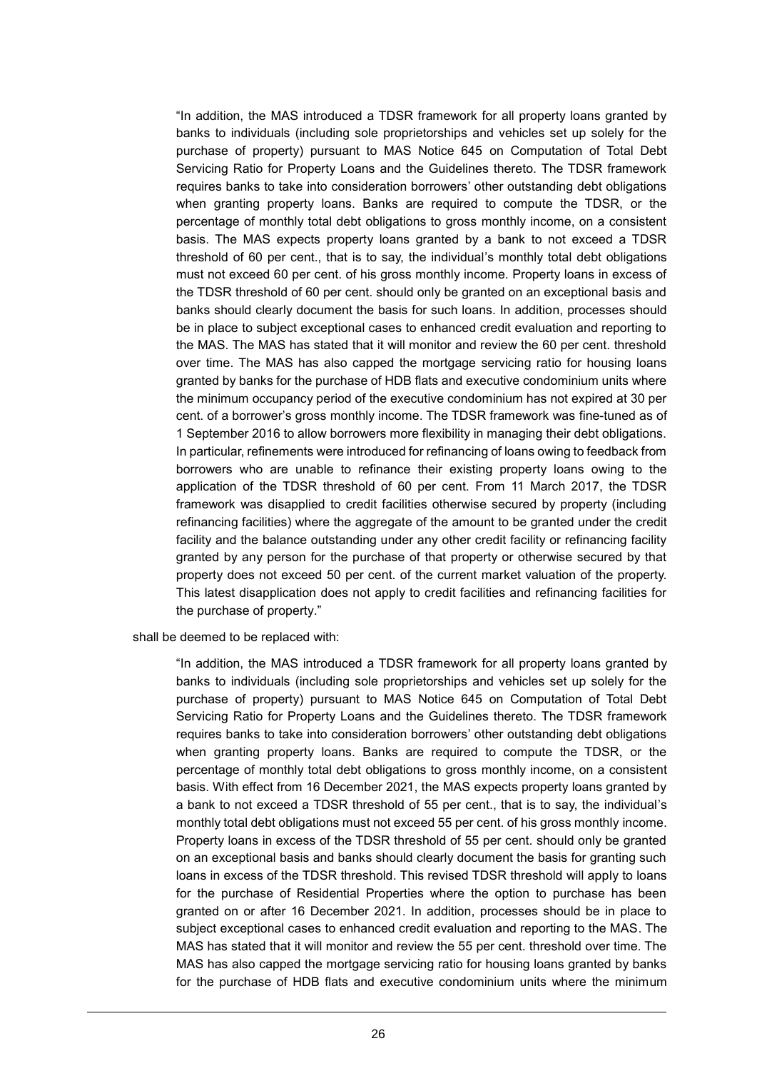"In addition, the MAS introduced a TDSR framework for all property loans granted by banks to individuals (including sole proprietorships and vehicles set up solely for the purchase of property) pursuant to MAS Notice 645 on Computation of Total Debt Servicing Ratio for Property Loans and the Guidelines thereto. The TDSR framework requires banks to take into consideration borrowers' other outstanding debt obligations when granting property loans. Banks are required to compute the TDSR, or the percentage of monthly total debt obligations to gross monthly income, on a consistent basis. The MAS expects property loans granted by a bank to not exceed a TDSR threshold of 60 per cent., that is to say, the individual's monthly total debt obligations must not exceed 60 per cent. of his gross monthly income. Property loans in excess of the TDSR threshold of 60 per cent. should only be granted on an exceptional basis and banks should clearly document the basis for such loans. In addition, processes should be in place to subject exceptional cases to enhanced credit evaluation and reporting to the MAS. The MAS has stated that it will monitor and review the 60 per cent. threshold over time. The MAS has also capped the mortgage servicing ratio for housing loans granted by banks for the purchase of HDB flats and executive condominium units where the minimum occupancy period of the executive condominium has not expired at 30 per cent. of a borrower's gross monthly income. The TDSR framework was fine-tuned as of 1 September 2016 to allow borrowers more flexibility in managing their debt obligations. In particular, refinements were introduced for refinancing of loans owing to feedback from borrowers who are unable to refinance their existing property loans owing to the application of the TDSR threshold of 60 per cent. From 11 March 2017, the TDSR framework was disapplied to credit facilities otherwise secured by property (including refinancing facilities) where the aggregate of the amount to be granted under the credit facility and the balance outstanding under any other credit facility or refinancing facility granted by any person for the purchase of that property or otherwise secured by that property does not exceed 50 per cent. of the current market valuation of the property. This latest disapplication does not apply to credit facilities and refinancing facilities for the purchase of property."

shall be deemed to be replaced with:

"In addition, the MAS introduced a TDSR framework for all property loans granted by banks to individuals (including sole proprietorships and vehicles set up solely for the purchase of property) pursuant to MAS Notice 645 on Computation of Total Debt Servicing Ratio for Property Loans and the Guidelines thereto. The TDSR framework requires banks to take into consideration borrowers' other outstanding debt obligations when granting property loans. Banks are required to compute the TDSR, or the percentage of monthly total debt obligations to gross monthly income, on a consistent basis. With effect from 16 December 2021, the MAS expects property loans granted by a bank to not exceed a TDSR threshold of 55 per cent., that is to say, the individual's monthly total debt obligations must not exceed 55 per cent. of his gross monthly income. Property loans in excess of the TDSR threshold of 55 per cent. should only be granted on an exceptional basis and banks should clearly document the basis for granting such loans in excess of the TDSR threshold. This revised TDSR threshold will apply to loans for the purchase of Residential Properties where the option to purchase has been granted on or after 16 December 2021. In addition, processes should be in place to subject exceptional cases to enhanced credit evaluation and reporting to the MAS. The MAS has stated that it will monitor and review the 55 per cent. threshold over time. The MAS has also capped the mortgage servicing ratio for housing loans granted by banks for the purchase of HDB flats and executive condominium units where the minimum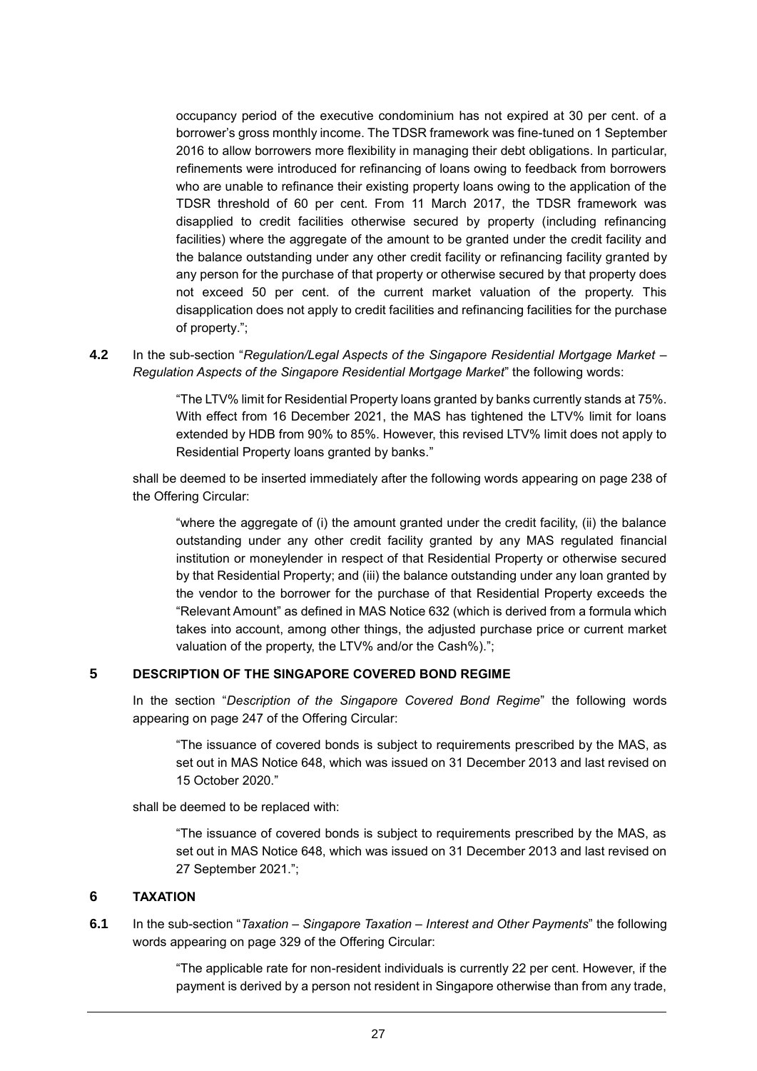occupancy period of the executive condominium has not expired at 30 per cent. of a borrower's gross monthly income. The TDSR framework was fine-tuned on 1 September 2016 to allow borrowers more flexibility in managing their debt obligations. In particular, refinements were introduced for refinancing of loans owing to feedback from borrowers who are unable to refinance their existing property loans owing to the application of the TDSR threshold of 60 per cent. From 11 March 2017, the TDSR framework was disapplied to credit facilities otherwise secured by property (including refinancing facilities) where the aggregate of the amount to be granted under the credit facility and the balance outstanding under any other credit facility or refinancing facility granted by any person for the purchase of that property or otherwise secured by that property does not exceed 50 per cent. of the current market valuation of the property. This disapplication does not apply to credit facilities and refinancing facilities for the purchase of property.";

### **4.2** In the sub-section "*Regulation/Legal Aspects of the Singapore Residential Mortgage Market – Regulation Aspects of the Singapore Residential Mortgage Market*" the following words:

"The LTV% limit for Residential Property loans granted by banks currently stands at 75%. With effect from 16 December 2021, the MAS has tightened the LTV% limit for loans extended by HDB from 90% to 85%. However, this revised LTV% limit does not apply to Residential Property loans granted by banks."

shall be deemed to be inserted immediately after the following words appearing on page 238 of the Offering Circular:

"where the aggregate of (i) the amount granted under the credit facility, (ii) the balance outstanding under any other credit facility granted by any MAS regulated financial institution or moneylender in respect of that Residential Property or otherwise secured by that Residential Property; and (iii) the balance outstanding under any loan granted by the vendor to the borrower for the purchase of that Residential Property exceeds the "Relevant Amount" as defined in MAS Notice 632 (which is derived from a formula which takes into account, among other things, the adjusted purchase price or current market valuation of the property, the LTV% and/or the Cash%).";

### **5 DESCRIPTION OF THE SINGAPORE COVERED BOND REGIME**

In the section "*Description of the Singapore Covered Bond Regime*" the following words appearing on page 247 of the Offering Circular:

"The issuance of covered bonds is subject to requirements prescribed by the MAS, as set out in MAS Notice 648, which was issued on 31 December 2013 and last revised on 15 October 2020."

shall be deemed to be replaced with:

"The issuance of covered bonds is subject to requirements prescribed by the MAS, as set out in MAS Notice 648, which was issued on 31 December 2013 and last revised on 27 September 2021.";

### **6 TAXATION**

**6.1** In the sub-section "*Taxation – Singapore Taxation – Interest and Other Payments*" the following words appearing on page 329 of the Offering Circular:

> "The applicable rate for non-resident individuals is currently 22 per cent. However, if the payment is derived by a person not resident in Singapore otherwise than from any trade,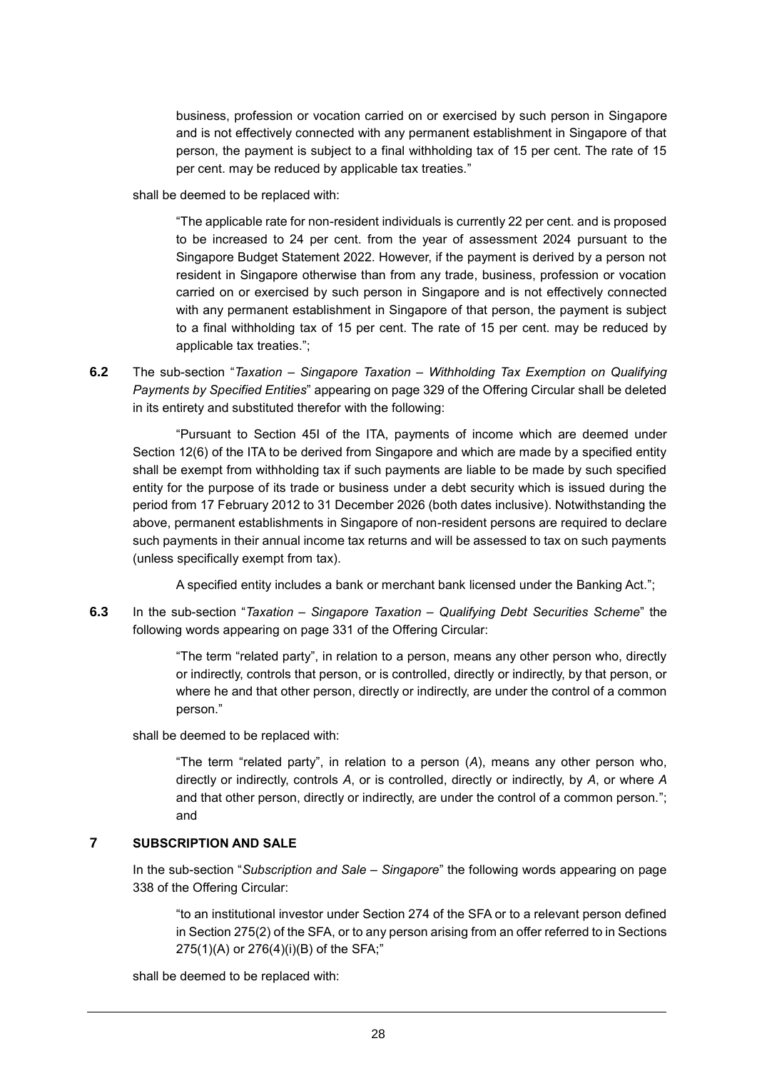business, profession or vocation carried on or exercised by such person in Singapore and is not effectively connected with any permanent establishment in Singapore of that person, the payment is subject to a final withholding tax of 15 per cent. The rate of 15 per cent. may be reduced by applicable tax treaties."

shall be deemed to be replaced with:

"The applicable rate for non-resident individuals is currently 22 per cent. and is proposed to be increased to 24 per cent. from the year of assessment 2024 pursuant to the Singapore Budget Statement 2022. However, if the payment is derived by a person not resident in Singapore otherwise than from any trade, business, profession or vocation carried on or exercised by such person in Singapore and is not effectively connected with any permanent establishment in Singapore of that person, the payment is subject to a final withholding tax of 15 per cent. The rate of 15 per cent. may be reduced by applicable tax treaties.";

**6.2** The sub-section "*Taxation – Singapore Taxation – Withholding Tax Exemption on Qualifying Payments by Specified Entities*" appearing on page 329 of the Offering Circular shall be deleted in its entirety and substituted therefor with the following:

"Pursuant to Section 45I of the ITA, payments of income which are deemed under Section 12(6) of the ITA to be derived from Singapore and which are made by a specified entity shall be exempt from withholding tax if such payments are liable to be made by such specified entity for the purpose of its trade or business under a debt security which is issued during the period from 17 February 2012 to 31 December 2026 (both dates inclusive). Notwithstanding the above, permanent establishments in Singapore of non-resident persons are required to declare such payments in their annual income tax returns and will be assessed to tax on such payments (unless specifically exempt from tax).

A specified entity includes a bank or merchant bank licensed under the Banking Act.";

**6.3** In the sub-section "*Taxation – Singapore Taxation – Qualifying Debt Securities Scheme*" the following words appearing on page 331 of the Offering Circular:

> "The term "related party", in relation to a person, means any other person who, directly or indirectly, controls that person, or is controlled, directly or indirectly, by that person, or where he and that other person, directly or indirectly, are under the control of a common person."

shall be deemed to be replaced with:

"The term "related party", in relation to a person (*A*), means any other person who, directly or indirectly, controls *A*, or is controlled, directly or indirectly, by *A*, or where *A* and that other person, directly or indirectly, are under the control of a common person."; and

## **7 SUBSCRIPTION AND SALE**

In the sub-section "*Subscription and Sale – Singapore*" the following words appearing on page 338 of the Offering Circular:

"to an institutional investor under Section 274 of the SFA or to a relevant person defined in Section 275(2) of the SFA, or to any person arising from an offer referred to in Sections 275(1)(A) or 276(4)(i)(B) of the SFA;"

shall be deemed to be replaced with: